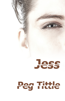

Jess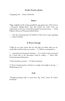#### *Gender Fraud: a fiction*

"A gripping read …" Katya, Goodreads

#### *Impact*

"Edgy, insightful, terrific writing, propelled by rage against rape. Tittle writes in a fast-paced, dialogue-driven style that hurtles the reader from one confrontation to the next. Chock full of painful social observations …." Hank Pellissier, Director of Humanist Global Charity

" … The idea of pinning down the inflictors of this terror is quite appealing …." Alison Lashinsky

#### *It Wasn't Enough*

"Unlike far too many novels, this one will make you think, make you uncomfortable, and then make you reread it …." C. Osborne, moonspeaker.ca

"… a powerful and introspective dystopia …. It is a book I truly recommend for a book club as the discussions could be endless …." Mesca Elin, Psychochromatic Redemption

"Tittle's book hits you hard …." D. Sohi, Goodreads

"*It Wasn't Enough* punches well above its weight and straight in the gut …" Shefali Sequeira, *4w*

#### *Exile*

"Thought-provoking stuff, as usual from Peg Tittle." James M. Fisher, Goodreads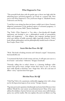#### *What Happened to Tom*

"This powerful book plays with the gender gap to throw into high relief the infuriating havoc unwanted pregnancy can wreak on a woman's life. Once you've read *What Happened to Tom*, you'll never forget it." Elizabeth Greene, *Understories and Moving*

"I read this in one sitting, less than two hours, couldn't put it down. Fantastic allegorical examination of the gendered aspects of unwanted pregnancy. A must-read for everyone, IMO." Jessica, Goodreads

"Peg Tittle's *What Happened to Tom* takes a four-decades-old thought experiment and develops it into a philosophical novella of extraordinary depth and imagination …. Part allegory, part suspense (perhaps horror) novel, part defense of bodily autonomy rights (especially women's), Tittle's book will give philosophers and the philosophically minded much to discuss." Ron Cooper, *Hume's Fork*

#### *Sexist Shit that Pisses Me Off*

"Woh. This book is freaking awesome and I demand a sequel." Anonymous, barnesandnoble.com

"I recommend this book to both women and men. It will open your eyes to a lot of sexist—and archaic—behaviors." Seregon, Goodreads

"Honestly, selling this in today's climate is a daunting challenge—older women have grown weary, younger women don't seem to care, or at least don't really identify as feminists, men—forget that. All in all a sad state of affairs—sorry." rejection letter from agent

#### *Shit that Pisses Me Off*

"I find Peg Tittle to be a passionate, stylistically-engaging writer with a sharp eye for the hypocritical aspects of our society." George, Amazon

"Peg raises provocative questions: should people need some kind of license to have children? Should the court system use professional jurors? Many of her essays address the imbalance of power between men and women; some tackle business, sports, war, and the weather. She even explains why you're not likely to see Peg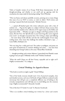Tittle at Canada's version of an Occupy Wall Street demonstration. It's all thought-provoking, and whether or not you'll end up agreeing with her conclusions, her essays make for fascinating reading." Erin O'Riordan

"This was funny and almost painfully accurate, pointing out so many things that most of us try NOT to notice, or wish we didn't. Well written and amusing, I enjoyed this book immensely." Melody Hewson

" … a pissed off kindred spirit who writes radioactive prose with a hint of sardonic wit …. Peg sets her sights on a subject with laser sharp accuracy then hurls words like missiles in her collection of 25 cogent essays on the foibles and hypocrisies of life …. Whether you agree or disagree with Peg's position on the issues, *Shit that Pisses Me Off* will stick to your brain long after you've ingested every word—no thought evacuations here. Her writing is adept and titillating … her razor sharp words will slice and dice the cerebral jugular. If you enjoy reading smart, witty essays that challenge the intellect, download a copy …." Laura Salkin, thinkspin.com

"Not very long, but a really good read. The author is intelligent, and points out some great inconsistencies in common thinking and action …. may have been channeling some George Carlin in a few areas." Briana Blair, Goodreads

" … thought-provoking, and at times, hilarious. I particularly loved 'Bambi's cousin is going to tear you apart.' Definitely worth a read!" Nichole, Goodreads

"What she said!!! Pisses me off also! Funny, enjoyable and so right on!!!! Highly recommended." Vic, indigo.ca

#### *Critical Thinking: An Appeal to Reason*

"This book is worth its weight in gold." Daniel Millsap

"One of the books everyone should read. A lot of practical examples, clear and detailed sections, and tons of all kinds of logical fallacies analyzed under microscope that will give you a completely different way of looking to the everyday manipulations and will help you to avoid falling into the common traps. Highly recommended!" Alexander Antukh

"One of the best CT books I've read." G. Baruch, Goodreads

"This is an excellent critical thinking text written by a clever and creative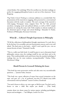critical thinker. Her anthology *What If* is excellent too: the short readings are perfect for engaging philosophical issues in and out of the classroom." Ernst Borgnorg

"Peg Tittle's *Critical Thinking* is a welcome addition to a crowded field. Her presentations of the material are engaging, often presented in a conversational discussion with the reader or student. The text's coverage of the material is wide-ranging. Newspaper items, snippets from *The Far Side*, personal anecdotes, emerging social and political debates, as well as LSAT sample questions are among the many tools Tittle employs to educate students on the elemental aspects of logic and critical thinking." Alexander E. Hooke, Professor of Philosophy, Stevenson University

#### *What If?… Collected Thought Experiments in Philosophy*

"Of all the collections of philosophical thought experiments I've read, this is by far the best. It is accessible, uses text from primary sources, and is very well edited. The final entry in the book— which I won't spoil for you—was an instant favorite of mine." Dominick Cancilla

"This is a really neat little book. It would be great to use in discussion-based philosophy courses, since the readings would be nice and short and to the point. This would probably work much better than the standard anthology of readings that are, for most students, incomprehensible." Nathan Nobis, Morehouse College

#### *Should Parents be Licensed? Debating the Issues*

"This book has some provocative articles and asks some very uncomfortable questions …." Jasmine Guha, Amazon

"This book was a great collection of essays from several viewpoints on the topic and gave me a lot of profound over-the-(TV-)dinner-(tray-)table conversations with my husband." Lauren Cocilova, Goodreads

"You need a licence to drive a car, own a gun, or fish for trout. You don't need a licence to raise a child. But maybe you should … [This book]

contains about two dozen essays by various experts, including psychologists, lawyers and sociologists …." Ian Gillespie, *London Free Press*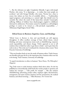"… But the reformers are right. Completely. Ethically. I agree with Joseph Fletcher, who notes, "It is depressing … to realize that most people are accidents," and with George Schedler, who states, "Society has a duty to ensure that infants are born free of avoidable defects. … Traditionalists regard pregnancy and parenting as a natural right that should never be curtailed. But what's the result of this laissez-faire attitude? Catastrophic suffering. Millions of children born disadvantaged, crippled in childhood, destroyed in adolescence. Procreation cannot be classified as a self-indulgent privilege—it needs to be viewed as a life-and-death responsibility …." Abhimanyu Singh Rajput, Social Tikka

#### *Ethical Issues in Business: Inquiries, Cases, and Readings*

"*Ethical Issues in Business* is clear and user-friendly yet still rigorous throughout. It offers excellent coverage of basic ethical theory, critical thinking, and many contemporary issues such as whistleblowing, corporate social responsibility, and climate change. Tittle's approach is not to tell students what to think but rather to get them to think—and to give them the tools to do so. This is the text I would pick for a business ethics course." Kent Peacock, University of Lethbridge

"This text breathes fresh air into the study of business ethics; Tittle's breezy, use-friendly style puts the lie to the impression that a business ethics text has to be boring." Paul Viminitz, University of Lethbridge

"A superb introduction to ethics in business." Steve Deery, *The Philosophers' Magazine*

"Peg Tittle wants to make business students think about ethics. So she has published an extraordinarily useful book that teaches people to question and analyze key concepts …. Take profit, for example …. She also analyzes whistleblowing, advertising, product safety, employee rights, discrimination, management and union matters, business and the environment, the medical business, and ethical investing …." Ellen Roseman, *The Toronto Star*

more at pegtittle.com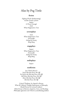### Also by Peg Tittle

#### **fiction**

*Fighting Words* (forthcoming) *Gender Fraud: a fiction Impact It Wasn't Enough Exile What Happened to Tom* 

#### **screenplays**

*Exile What Happened to Tom Foreseeable Aiding the Enemy Bang Bang* 

#### **stageplays**

*Impact What Happened to Tom Foreseeable Aiding the Enemy Bang Bang* 

#### **audioplays**

*Impact* 

#### **nonfiction**

*Just Think About It Sexist Shit that Pisses Me Off No End to the Shit that Pisses Me Off Still More Shit that Pisses Me Off More Shit that Pisses Me Off Shit that Pisses Me Off* 

*Critical Thinking: An Appeal to Reason What If? Collected Thought Experiments in Philosophy Should Parents be Licensed?* (editor) *Ethical Issues in Business: Inquiries, Cases, and Readings Philosophy: Questions and Theories* (contributing author)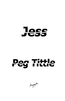

# Peg Tittle

Magenta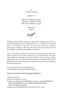Jess © 2022 by Peg Tittle

pegtittle.com

ISBN: 978-1-926891-95-8 (print) ISBN: 978-1-926891-96-5 (pdf) ISBN: 978-1-926891-97-2 (epub)

> Published by Magenta

Magenta

All rights reserved. Without limiting the rights under copyright reserved above, no part of this publication may be reproduced, stored in or introduced into a retrieval system, or transmitted, in any form, or by any means (electronic, mechanical, photocopying, recording, or otherwise) without the prior written permission of both the copyright owner and the above publisher of this book.

This is a work of fiction. Names, characters, places, brands, media, and incidents are either the product of the author's imagination or are used fictitiously. The author acknowledges the trademarked status and trademark owners of various products referenced in this work of fiction, which have been used without permission. The publication/use of these trademarks is not authorized, associated with, or sponsored by the trademark owners.

Cover design by Peg Tittle & Elizabeth Beeton Formatting and interior design by Elizabeth Beeton

#### **Library and Archives Canada Cataloguing in Publication**

Title: Jess / Peg Tittle. Names: Tittle, Peg, 1957- author. Identifiers: Canadiana (print) 20220200351 | Canadiana (ebook) 2022020036X | ISBN 9781926891958 (softcover) | ISBN 9781926891965 (PDF) | ISBN 9781926891972 (EPUB) Classification: LCC PS8639.I76 J47 2022 | DDC C813/.6—dc23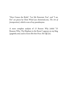"Here Comes the Bride", "Let Me Entertain You", and "I am Eve" are pieces by Chris Wind (see chriswind.com, *The Art of Juxtaposition*), which is one of my pseudonyms.

A more complete analysis of *13 Reasons Why* (titled "13 Reasons Why: The Elephant in the Room") appears on my blog (pegtittle.com) and in *Sexist Shit that Pisses Me Off* (2e).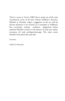There's a scene in *Tootsie* (1982) that is surely one of the most unacclaimed scenes of all time: Dustin Hoffman's character, Michael, as 'Dorothy', makes a suggestion on the set, and the director dismisses it out of hand. As I remember it, Hoffman's face—conveying surprise, confusion, indignation—shows perfectly Michael's reaction to the absence of (and, just maybe, awareness of) male privilege/advantage. The entire movie should've been about that. Just that.

It wasn't.

And so I wrote *Jess*.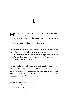## 1

e cried. He screamed. No one came running to attend to He cried. He screamed. No one<br>his needs, let alone his wants.

This isn't right, he thought. Improbable as that was for a newborn.

They just smiled at him and told him to *Shhh*.

They smiled at him a lot. More often. In fact, the mobile above his crib had happy faces. It used to have Lego bricks.

They also made eye contact more often. Spoke to him more often. Sang to him more often. In softer voices. It was nice.

Eventually, he smiled back.

But oh, was he handled! Being held, and cuddled, it made him feel … secure, it enabled him to relax in the world. But the gratuitous touching— Sometimes he just wanted to be left alone. Didn't matter. It was as if his body was considered communal property. Common property.

And he was fussed over to no end. "Such soft skin!"

"What lovely hair!"

No one told him how big he was.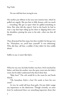Peg Tittle

No one told him how strong he was.

His mother put ribbons in his near-non-existent hair, which he pulled out angrily. She put him in frilly dresses, with too much … everything. She got so upset when he spilled something on them. But what did she expect? And at the beach, he had to wear a top that kept riding up his chest or slipping down over his shoulders, pinning his arms to his side—what was that all about?

They all praised his first steps, but then wouldn't let him go very far. "Honeybun, no, you'll hurt yourself!" It was infuriating. Why did they call him a toddler if they didn't let him toddle about?

Suffice to say, it wasn't like *before*.

• • •

When he was two, his baby brother was born. He'd watched his father, and then his mother, turn the spare room into the baby's room, but he didn't understand why they'd done that.

"Baby here!" The crib would fit in the room he and Sarah shared.

"Oh, honeybun, Kyle's a boy! He needs to have his *own*  room!"

At two, he could tell boys from girls. He just didn't assign any importance to the distinction. Though certainly, on some level, he understood there *was* something important about that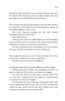distinction. After all, Kyle's room was blue and green; the room he shared with Sarah was pink and yellow. Kyle's room had spaceships on the wall; their room had princesses.

One evening when Jess said goodnight to his new baby brother, he tucked one of his dolls into the crib beside him, taking out the stuffed alligator to make room.

His mom objected, reaching into the crib. "Jessica, honeybun, Kyle doesn't like dolls!"

How did she know?

Then his mom took the stuffed alligator out of his dangling hand. Until then, he'd never had any toys taken away from him. Until then, the only toys in the house were girl toys.

His face scrunched up. He was going to cry. No, he wasn't. He wasn't! He did. It was okay to cry now. It felt good.

Every night, his mom read a story to him and Sarah. Now they had to wait until she'd read a story to Kyle first.

He didn't know the stories were different.

As Kyle grew older, there were other differences. Other changes.

Whenever Jess had trouble with something, his mom was quick to help him. Kyle was left, was allowed, to struggle.

At snack time, Kyle was often given a second cookie. "Me too," Jess said, reaching out for the cookie jar. "Oh honeybun, no, you have to watch your weight!"

On Saturdays, his mom took them to the park to play. Kyle wasn't reprimanded when he got dirty, but Jess was. But how could you play outside and *not* get dirty? Maybe that's why Sarah just stood there. Is that what girls did?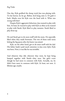#### Peg Tittle

One day, Kyle grabbed the dump truck Jess was playing with. To his horror, he let go. Before, he'd hang onto it. Or grab it back. Maybe even hit Kyle over the head with it. What was wrong with him?

Despite Kyle's aggressive behaviour, Jess wanted to play with him. At least, he wanted to play with Kyle as often as he wanted to play with Sarah. Kyle liked to play monster. Sarah liked to play dress-up.

He and Sarah got to do more stuff with his mom. He especially liked when they made brownies. The two of them took turns licking the big spoon after the batter was mixed.

Kyle, on the other hand, got to do more stuff with his dad. His father hadn't paid much attention to Jess even *before* Kyle was born. Now, it was like he was invisible.

And whatever they did, wherever they went, he kept being lumped together with Sarah—they were 'the girls'—even though he had more in common with Kyle. Actually, no, he didn't have more in common with Kyle. At least, not now. A lifetime ago, maybe.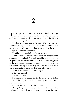### 2

hings got worse once he started school. He kept Things got worse once he started school. He kept<br>remembering stuff that seemed a bit ... off. Not that he could put it in those words. Or in any words, actually. He just knew he was doing it all wrong.

He chose the wrong toys at play time. When they went to the library, he signed out the wrong books. He joined the wrong games at recess. When they lined up to go back into the school, he kept standing in the wrong line.

He didn't understand why it all mattered so much.

And he didn't understand Mikey. Mikey was a big boy with a crewcut. He was loud. And pushy. And he kept poking him. He poked him when they happened to be in the same play group or the same quiet time group. He poked him on his way to the blackboard. And again on his way back. He poked him when they were standing in line to get their jackets for recess.

"Stop it!" Jess would say. Again and again.

Mikey just laughed.

"I *mean* it! *Stop* it!"

Sometimes it was a really hard poke, almost a punch, but sometimes he simply touched him. Not a poke, just a touch. Here and there—

One day, Jess hit him. To make him stop.

"Young lady, you're coming with me right now!" The teacher's aide grabbed Jess and hauled him out of the class.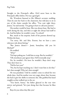Straight to the Principal's office. He'd never been to the Principal's office before. He was a good girl.

Mr. Woodrow listened to Ms. Ellison's account, nodding. Then he sent her back to the classroom, but told Jess to sit in one of the chairs outside his office. "You wait right there, Jessica," he said sternly. "I'm going to have to call your parents."

His mother would be busy. She was always busy. She had to work during the day, and then at night she always had stuff to do. And his father, he wouldn't come. To school?

But, much to his surprise, both of his parents showed up. Within the hour.

"I'm sorry, Mr. and Mrs. Everett, but we have a zero tolerance rule about hitting."

"But Jessica doesn't— Jessie, honeybun, did you *hit* Michael?"

He nodded.

"*Why?"* 

"He kept poking me. I told him to stop. But he wouldn't."

"Oh sweetheart, just ignore him. He'll eventually stop."

No, he wouldn't. He *knew* he wouldn't. Boys don't stop. They don't have to.

"Did he *hurt* you?"

"No, but he kept touching me. I don't want him to do that." Isn't that enough? Why isn't that enough?

He was punished. Told he couldn't come to school for two whole days. And his mother was very angry about that, because she had to give her shifts to someone else. She grabbed his hand roughly as they walked out to the car.

"You know, honey," his father glanced in the rear view mirror and grinned, "he's just doing that that because he likes you."

Boys *hit* you when they like you?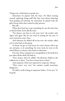Things were a little better in grade two.

Sometimes he played with the boys. He liked running around, exploring, doing stuff. But they were always shouting. And pushing and shoving. So sometimes he played with the girls. Except when they wanted to play princess.

But still …

When they lined up to get something, he saw the boys butt in ahead of him. So he did the same.

"No, Jessica, you have to wait your turn," the teacher said. Again and again. But he was tired of waiting for his turn. It never seemed to come. Now.

And whenever he drifted off on his own, the teacher called out to come back to the group.

At home, he got to read more; he wasn't always told to go out and play, to *do* something. So every week, he went to the school library to choose a few books to take home.

One day, Petey stomped over and grabbed at the book he'd just taken off the shelf. He held on.

"Now, Jessica, don't be selfish," the librarian chided as she walked over to them. "You have to learn how to share."

And cooperate. Girls were expected to cooperate. Always.

"That wasn't very nice," his teachers would sometimes disapprove.

He didn't recall it being so important before. To be nice. To be good.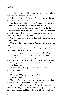One day, Jess had trouble putting the cover on a scrapbook. It had clips he hadn't seen before.

"Like this!" A boy took the book from him and put the cover on. "The teacher *showed* us!"

But the teacher hadn't. She hadn't shown the girls. She'd just told them to put the covers on and left it at that.

Another day when the class was on a field trip that involved walking to the local museum, they all had to wait and wait while a bunch of cars left a parking lot before they could cross and continue. Eventually, Jess screamed. Yelled.

"Inside voices," the teacher reprimanded. Even though they were outside.

"And it's okay," she soothed. "You're safe here on the sidewalk."

"I'm not afraid!" Jess retorted. "I'm angry! Why don't any of the cars just stop to let us cross?"

Another time, "Calm down," the teacher said, smiling.

She said that a lot to the girls. When they got angry.

And "If you can't say anything nice, you shouldn't say anything at all." Jess had said that the play the other students wanted to present that year was stupid. But it was! Even Andrew thought so!

On yet another day, "Jessica, would you please help Tony with this arithmetic?"

"No."

"Excuse me?" The teacher was horrified.

"I don't want to."

"But— Well—" She was so disconcerted, she almost stuttered. "That doesn't matter," she finally said.

When he was invited to Brittany's birthday party, his mom took him to a huge toy store to buy a birthday gift. As soon as they entered, she steered him to the girls' side. Jess wandered up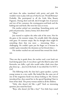and down the aisles, inundated with pretty and pink. He

Jess

wouldn't want to play with any of what he saw. Would Brittany? Probably. She participated in all the Little Miss Beauty Pageants. During show-and-tell, she'd brought lots of pictures and two of her costumes: the evening-gown-and-heels and the bathing-suit-and-heels. She wore her tiara at recess.

His mother picked out something. Something pretty and pink and princessey. "Jessica, honey, how about this?"

"Okay."

Jess wanted to explore the other side of the store. Not for the guns or the monster ninjas. He actually didn't like playing with guns. Or monster ninjas. But he thought there might be something there that was more … interesting. More … challenging. He couldn't quite put his finger on it because he couldn't quite remember the chemistry set he'd loved when—

His mother reached out and steered him toward the checkout.

Then one day in grade three, the teacher read a new book out loud during quiet time. It was about a girl who liked to play with firetrucks, not dolls, a girl who would rather climb trees than play dress-up … Jess *loved* the book. It was titled *But I'm NOT a Girl!*

The following week, the class had a guest speaker, a pretty young woman in a nice outfit. She looked like she came out of one of the magazines Sarah was always looking at. Ms. Gerson introduced her, then seated her in the special Speaking Chair in front of her desk. The pretty woman smiled at all the children.

"Girls, who doesn't *feel* like a girl?" Such an interesting question. Jess raised his hand.

"Boys, who doesn't *feel* like a boy?" Two little boys raised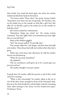their hands. Jess raised his hand again, but when the teacher smiled and shook her head, he lowered it.

"You know what? That's okay!" the pretty woman smiled. "Sometimes we're born into the wrong body. We feel like a boy on the inside, but on the outside we look like a girl! Isn't that silly? Or we feel like a girl on the inside, but on the outside we look like a boy!"

Ms. Gerson smiled her endorsement.

"Sometimes things get mixed up," the young woman continued. "Isn't that right? Don't you sometimes put your right shoe on your left foot?"

Many of the children giggled.

"See?" the woman smiled. "It's just like that."

The woman talked for a bit longer, and then they had milk and cookies. They always had milk and cookies when they had a guest.

When Jess went home that afternoon, he told his mother that he was all mixed up.

"What do you mean, honeybun?"

He explained.

"Oh, no, sweetheart, you'll grow up to be a pretty girl, you just wait and see."

His mother thought it was just a phase.

In grade four, his teacher called his parents to ask if they could come for a meeting.

"What is this concerning?" his mother asked as she sat in one of the three chairs arranged in front of the Principal's desk. Jess sat in the chair beside her, and his father took the remaining chair. After moving it a bit. Away. As if he needed more space. Or distance. From.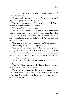Jess

His teacher, Ms. Matthews, was on the other side, seated beside the Principal.

"Jessica's grades are good, aren't they?" His mother glanced at Jess, then glanced back at the teacher.

"Yes, Jessica's grades are fine," Ms. Matthews smiled. "We're concerned about her gender socialization."

"Her what?" Jess' father spoke up.

Mr. Woodrow turned to her father. "We think your daughter could benefit from meeting with a counsellor a few times. We've prepared a list of therapists for you to consider," he slid a sheet of paper across the desk, "though I'm sure you'll find all of them to be—"

"You want us to send her to a shrink?" Jess' father was angry. "There's nothing wrong with our daughter!"

"But Todd," Jess' mother said to him in a calming voice, putting her hand on his arm, as if it were her job to control his outbursts, "you know she always wants to do boy things. She's been like that since she was little, you *know* that!" And it had been starting to worry her.

"Well, maybe that's because boy things are more fun!" He laughed.

"Yes," Ms. Matthews said gently, "but we have to ask why Jessica *considers* them to be more fun."

The conversation continued for a few more minutes, then Mr. Woodrow stood up, indicating that they had taken enough of his time. Jess' mother took the list, and the three of them went out to the car.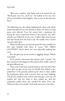"She's just a tomboy," Jess' father said as he started the car. "She'll grow out of it, you'll see." He looked in the rear view mirror and winked at his daughter. "Just as soon as she discovers boys!"

The following year, the school implemented a dress code which stated that girls had to wear dresses or skirts. No shorts or long pants were allowed. True, the county had a reputation for having the most conservative board in the province, but other schools soon followed. In any case, it didn't affect Jess because that had already been his mom's rule. He usually wore a smock top and a plain skirt.

What *did* affect Jess was that the grade five boys wouldn't let him play baseball with them at recess. "NO GIRLS ALLOWED!" they'd shout, one even physically pushing Jess away.

But the girls just stood around in giggling clumps. Which was stupid.

So he joined a threesome that played catch. "Lezzies," the boys muttered with disgust as they passed them. Sadly, many of the girls followed suit.

Then some of the boys started laying in wait and when they saw a girl, *any* girl, on her own, by herself, they rushed at her, pushed her to the ground, yanked up her dress or skirt, pulled her underpants down, took a picture, then ran away laughing. The picture would be sent around until they got a new one. Of another girl with her dress or skirt yanked up. And her underpants pulled down. Jess watched for them. Every day. Whenever they were outside. And made sure never to be alone.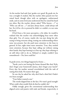As his teacher had said, Jess' grades *were* good. By grade six, he was a straight-A student. But the teacher often passed over her raised hand, though often with an apologetic, embarrassed smile, and on some level, Jess understood that he raised his hand too often. But the teacher always asked "Who knows …?" or "Who can tell me …?" and Jess always knew, could always tell her. So it'd be a lie to pretend he didn't or couldn't, to not raise his hand.

If he'd been a bit more perceptive, a bit older, he would've realized that the teacher was acknowledging boys more often than girls. Yes, of course, maybe she was just doing her job, trying to bring everyone along, teasing out understanding where none was present, but she paid more attention to the boys in general. In fact, eight times more attention. True, they needed more attention, because they kept calling out without raising their hands, they kept butting in at line-up, they kept refusing to sit still when told to do so. Refused or simply couldn't? Jess remembered— No, how could he?

In grade seven, two things happened at home …

"Sarah, you're not leaving the house dressed like that! Kyle, don't forget your homework! Jessica, don't forget your lunch!" Every day, his mother seemed overwhelmed with the task of raising three kids. No matter their ages.

So one day he asked her why she'd had a third kid. Hadn't two been enough?

"Your father wanted a son."

The words slapped him in the face. He wasn't good enough? What could, what would, Kyle do that he couldn't do?

Oddly enough, given the conventional understanding that aligned active and passive with male and female, respectively, it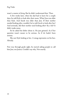wasn't a matter of *doing*. But he didn't understand that. Then.

A few weeks later, when his dad had to leave for a couple days, he told Kyle to look after their mom. What? Jess was older than Kyle. And Sarah was older than Jess. If their mother needed looking after, wouldn't he've told *Sarah* to look after her? And seriously, did their mother need looking after? *By a kid?* It didn't make sense.

So he asked his father about it. He just grinned. As if her question wasn't meant to be serious. As if *she* hadn't been serious.

She saw Kyle looking at her. A smug expression on his face. Already.

Part way through grade eight, he started asking people to call him Jess, not Jessica. Couldn't say why. Not exactly.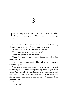### 3

he following year, things started coming together. They The following year, things started coming together. They also started coming apart. That's what happens in high school.

"Time to wake up!" Sarah rustled his bed. She was already up, showered, and in her robe. Clearly a morning person.

"What? What *time* is it?" It felt early. Too early.

"Six o'clock! We've got to get you ready!"

He sat up, groggy. "Ready for what?"

"Your first day of high school!" Sarah beamed at her younger sister.

But he was already ready. He had a new knapsack, notebooks, pens …

"We have to make you *pretty*!" She trilled the word and started to pick and choose among the many tubes and jars at her vanity. Aptly named. His side of the room had just a dresser and small mirror. "Into the shower with you. I left my razor and shaving cream on the counter. Pits and legs! We can talk about your bush later."

"What?" "Go, go, go!"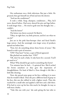Her enthusiasm was a little infectious. But just a little. He groaned, then got himself out of bed and into the shower.

"And use the conditioner!"

It took a while. Soap, shampoo, conditioner… Plus, he'd never shaved before. Had never shaved his pits and legs before. It took longer than … He tried to grab onto the thought, but … couldn't.

"And the lotion!"

The lotion was cherry-scented. He liked it.

"Okay, sit right here, my little princess, and let's see what we can do!"

Jess sat in the pink faux-baroque chair and faced Sarah's large mirror. And the seemingly even larger array of products spread out before him.

"First, let's do something about those brows of yours." She leaned in with a pair of tweezers.

"OW! That hurt!" In fact, a spot of blood appeared.

She plucked out another hair. "OW!"

"Oh, don't be such a baby. It only hurts for a second. You'll get used to it."

What? Why should he get used to something that hurts?

Ten minutes later he had— A quizzical face. She'd arched the brows somehow so they gave the impression of thoughtfulness. He kind of liked it. Even though it felt like a little like cheating.

Next, she spread some goop on his face, rubbing it in more than he would've liked. Then she put a different kind of goop on his face, this one she rubbed in with a lighter touch. Then she reached for a small tube and applied a dab here and a dab there. If he had to cover up his face this much, he thought, he may as well wear a burka.

"Take this one with you," she said, giving the last tube to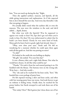him. "You can touch up during the day." Right.

Then she applied eyeliner, mascara, and lipstick, all the while giving instructions and explanations. As if she expected him to do it himself the next day. And every day thereafter. Like that was going to happen.

He actually didn't mind what the eyeliner did, or even the mascara. The eyes were the windows to the soul, and she'd added … depth, drama.

But what was with the lipstick? Was he supposed to appear ever ready to kiss? No, lips don't get red when you're ready to kiss. Do they? He was embarrassed to admit that he hadn't yet been kissed. Clearly he was some kind of freak. Many girls he knew back in grade eight had already 'done it'.

"Okay, now close your eyes," Sarah said. He did so, wondering for a moment whether he could open them again with all that gunk on. And she was putting on more?

"Ta-dah!"

He looked at the outfit she was holding on display.

"My gift," she smiled. "For your first day!"

It was a flouncy skirt and a tight little blouse. Not what he would have chosen. At all. But what could he say?

"Thanks." He took it from her and started putting it on. He fumbled with the blouse. The buttons were on the wrong side. Wait, how— And why would—

"No," she said as he reached for his knee socks, "here." She handed him a new package of panty hose.

He felt exposed wearing a skirt and knee socks, and often cold, but wearing panty hose was worse. And took forever to get on without it feeling twisty. Finally done, he reached for his penny loafers, but Sarah swooped in and took them out of his hands.

"Not today! Here!" She'd gotten Jess' dress shoes out of her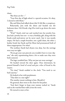closet.

"But these are for—"

"Your first day of high school *is* a special occasion. It's okay, I cleared it with Mom."

She and Mom had talked about this? It felt like a conspiracy.

Reluctantly, Jess took the shoes and headed out the bedroom door. He'd break a leg if he tried to go down the stairs in them.

"Wait!" Sarah cried out and reached into her jewelry box. Jess had a jewelry box too—it was a birthday gift, along with the brush-comb-and-mirror set he never used—but it was mostly empty. He had a couple bracelets, one a gold chain, the other a leather braid, but Sarah and his Mom had pronounced both of them inappropriate. For what?

The necklace Sarah had chosen was okay, but the earrings were way too tight.

"If you get your ears pierced, you wouldn't have to wear clipons," she said, repositioning them a bit to make sure they were both centered.

The logic troubled him. Why not just not wear earrings?

He headed toward the door again. Once downstairs, he poured himself a bowl of cereal and put a slice of bread in the toaster.

"No time!" Sarah nodded to the clock. "You need to cut back anyway."

He looked at her with puzzlement.

"That skirt is a size eight!"

The number meant nothing to him. Should it?

He grunted, then went to the closet for his jacket.

"And don't forget to keep your tummy tucked in," Sarah said as she watched him walk across the room.

He turned to stare at her.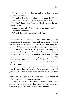"I'm your sister, Jessica, but you look like a slob with your stomach out like that."

He took a deep breath, pulling in his stomach. Was he supposed to keep his abdominal muscles contracted all day?

He didn't know, yet, about the Kegel exercises he was supposed to do.

Sarah wasn't satisfied. "We should get you some Spanx."

He didn't want to ask.

"It's basically a body girdle. You'll look great!"

He found his way to his homeroom, and claimed an empty desk near the back. Everyone who was already there stared at him. A few minutes later, he realized that that was where the boys sat. At the back. Well, so what. He didn't like sitting near the front.

His homeroom teacher, Ms. Kelly, seemed nice enough. She would also be his English teacher. Jess looked around the room, but saw no one he thought he could become friends with. But then, it was too early to tell. First impressions were unreliable, he realized that much. He recognized a few kids from his grade eight class, but they weren't kids he'd hung out with. In fact, he'd become a bit of a loner.

English, Biology, Algebra, then Lunch. He gravitated toward another loner at the end of Algebra, and once they'd gone to their lockers to drop off their books and pick up their

lunches, they sat together in the lunch room. Maria turned out to be in his afternoon History class as well.

After a few weeks, Maria drifted away and eventually Jess saw her with a group of giggling girls. He wasn't surprised, really, nor upset. They didn't have much in common.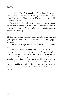Around the middle of the month, he found himself making a note during announcements about try-outs for the football team. It jarred him. There was a girls' cross-country team. He joined that instead.

Even so, a couple weeks later, he went to a football game. Found himself sitting at ground level, as close to the field as possible. He missed— What? Again, he couldn't quite catch the thought, the memory …

He had Gym second semester. Usually, the boys and girls had gym separately, but for some classes, they met in the large gym together.

"Look at the stumps on that one!" One of the boys called out.

Jess was mortified. He ignored the calls as best he could, but that night he put on his shorts again and took a good long look in the full-length mirror Sarah had insisted on having on her closet door. *Were* his legs stumps? They *were* pretty much straight up and down, not tapering toward his ankles like the women's legs he saw in all the ads. But what could he do about that? He couldn't control the shape of his legs! He knew that guys didn't even *consider* the shape of their legs, let alone agonize over it.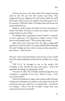Jess

Curious, Jess put on the dress shoes he'd stopped wearing early on. Ah. He saw now why women wore heels. They lengthened the leg. Tightened the calf muscle. Made the ankle look thinner. But of course he couldn't wear heels in gym even if he wanted to. Which he didn't. He kicked them off and put his penny loafers back on.

Maybe he could convince his Mom to let him wear pants to school. Not likely. He'd have to expose his stumps to the entire student body every day, all day.

He thought about organizing a bunch of girls to comment on boys' appearance. On things *they* couldn't control. "Look, that one has knobby knees!" "That one has thick wrists!"

Quite apart from what gave boys the right to judge girls' appearance in the first place? An image suddenly flitted through his mind: holding up score cards as young women passed by a men's dorm… *What the hell?*

One day, as he was leaving History class, the last to leave, thank God, his insides suddenly clenched and he doubled over, crying out.

"Call 9-1-1," he managed to say to the teacher, Ms. Tremblay, as his—bowels? No, that wasn't quite— Was it his appendix? *Something* was ripping apart inside.

"Oh, don't be silly," Ms. Tremblay chided, though there was a kindness, a sympathy, in her voice. "Surely it's just— Your time of the month?"

What? He doubled over again, with a sharp intake of breath. Feeling a bit of dampness, he rushed to the washroom as best he could, and went into a stall. Yes, it was blood. But— So what he was feeling— These were the so-called cramps that every woman he'd ever known had felt?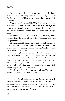Pain sliced through his gut again, and he gasped. Almost started panting. He felt vaguely nauseous. This was going to last for *five* days? And he'd have to go through this *every month*? It was unthinkable.

"Caught you off-guard, did it?" Ms. Tremblay had followed him into the washroom. He heard coins clatter through the dispenser on the wall, the sound of a package dropping out, and then he saw her hand reaching under the door. "Here you go, dear."

He fumbled, he fiddled, he cursed … A frustrating fifteen minutes later, he emerged from the washroom, and went straight home.

He washed out his clothes, then headed to bed. Curled into a tight fetal position as his insides continued to wrench. How could this not be causing permanent damage? And how could there not be a cure for this?

After a couple hours, he went online. He found heating pads, chamomile tea, ginger ale, Midol. Which was just acetaminophen. Great. Well, at least that was in their medicine cabinet. He considered also trying ibuprofen. And naproxen. Maybe all three together. He couldn't believe this was the best science had to offer. For something so debilitating, so *regularly* debilitating, to half the human species.

"You'll get used to it," so many sites had said. That was not comforting. In fact, it was disconcerting.

At the beginning of grade ten, Jess was invited to a party. It surprised him and, in retrospect, he suspected it was sort of an accident. He'd just happened to be with three other girls when they were invited. But he went anyway. He was curious. He'd never been to a party before. Well, not—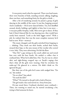It was pretty much what he expected. There was loud music, there were bunches of kids, standing around, talking, laughing, there was beer, and something fruity for the girls to drink …

After a bit of wandering around, he joined a group of girls dancing in the middle of the room. It was fun, bopping around. And it suddenly— He'd never danced before. Yes, he'd shuffled around, slowly, holding a girl tightly to him, but it was more … it was just public foreplay, really. Men never got to dance. If they had, if they'd danced like he was dancing now, they would have surely been taunted. "Look at the little faggot move!" With a jolt, he realized that that was the most complete memory he'd had to now. Wait—*memory?* 

The music changed, and the girls switched from bopping to … slinking. They stuck out their boobs, arched their backs, swayed their hips, to the sexy moans of the vocalist who *wanted it now, baby*. They were advertising. He left the floor.

"Hey Ho!" a guy sitting on the couch called out and waved him over with his beer bottle. He smiled—a reflex—but it confused him. What he'd called him. Her. Yes, he was in a short skirt and tight-fitting cropped top—at Sarah's urging—but that's what all the girls were wearing. Had he overdone his make-up? He glanced in a mirror. He didn't think so. He ignored the guy.

But then one of the girls he'd come with nudged him. "Go on," she smiled.

"Go on what?" Jess asked.

"Go suck his dick!"

"What?" He turned to the girl with a look of horror.

The girl made a face and moved on. Away from Jess.

He just stood there. Confused, shocked, more confused— Then, not wanting to stand out, he started circulating a bit, trying to find someone he knew.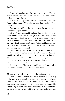"Hey Ho!" another guy called out to another girl. The girl smiled, flounced over, then went down on her knees to suck his dick. All the boys cheered.

Jess stared. The guy had his hand on her head, to keep her from pulling away. When she gagged, they laughed. They *laughed*.

"It's no big deal," the first girl appeared beside her again. "You should try it. It's fun."

He didn't believe it. And it looked a little like the girl on her knees didn't either. But all the girls said they liked it. He suspected, now, that it was a way to save face. Because it was so clearly a humiliation. That's exactly what the boys made it. And they knew it. *He* knew it. He *knew* it. (What he didn't know was that there were 'fellatio cafés' in Europe where coffee and a blow-job might cost 50 pounds.)

But apparently there was no other way to become popular.

What did 'popular' mean though? Well, it meant that girls would be friends with him. It meant that boys would ask him out. Did he want that? Well, yes. He was tired of being a loner. And on some level, he knew that if he *wasn't* somebody's girlfriend, and later somebody's wife, he'd be invisible.

Of course, even if he *was* somebody's girlfriend, somebody's wife, he'd be invisible. But he didn't know that yet.

He started wearing less make-up. At the beginning, it had been kind of fun. And he could see that it was expected. Not wearing make-up was … shameful. That was weird. Because it indicated laziness? But men didn't wear make-up, and they weren't considered lazy because of it. So where was the shame? He couldn't figure it out. The moral undertones of it. Bottom line, he didn't like how it felt on his face. And he hated the time it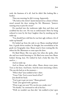took, the fussiness of it all. And he didn't like looking like a hooker.

Then one morning, he did it wrong. Apparently.

"Oh, look at the clown!" Justin had jeered as a dozen of them stood around the door waiting for Mr. Blummett. "Jessica's running away to join the circus!"

He marched into the washroom right then and there and scrubbed his face raw. He was so embarrassed. More by being reduced to tears by the boys' laughter than by mucking up his make-up.

"You should have told him he was butt ugly without a bit of make-up himself."

He looked up from the sink to see Shane standing behind him. A grade eleven student, he thought, but nevertheless in his grade ten Geography class. Shane must've been waiting like the others for Mr. Blummett to come open the door.

He liked Shane. She was quiet, but when she spoke, what she said was worth listening to. He liked even more how Shane looked. Strong, lean. He wished he had a body like that. He used to …

And no make-up.

And no blouse and skirt either. Shane always wore jeans. Torn at the knee. And boots. And the most interesting t-shirts. The one she had on at the moment—

"Who's that?" Jess nodded to her t-shirt.

"Taran Tula. You've never heard of her?"

Jess shook her head.

"You've got to get out more." Shane grinned.

"Yeah," Jess agreed with a grimace.

"Want to get out now? We can do you a make-over."

"No thanks," he continued to rub at his face.

"Well, we wouldn't use that shit," she nodded to Jess' open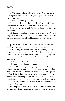purse. "Do you even know what's *in* that stuff?" Shane reached in and pulled out his mascara. "Propylene glycol," she read. "Isn't that in antifreeze?"

Jess stopped rubbing. In horror.

Shane pulled out a little bottle of nail polish next. "Formaldehyde," she read. "Doesn't that cause cancer?"

It took all of two seconds for Jess to dump it all into the garbage bin.

He'd never skipped class before, but he certainly didn't want to go back. Justin would be waiting. With his friends. He'd be the Entertainment of the Day. He'd seen it happen before.

They went to the mall. Shane led the way to the men's section of the large department store they entered. Using the credit card his parents had given him for emergencies, Jess bought a pair of baggy cotton pants, with lots of pockets (actual pockets you could put stuff in), a large, loose t-shirt, and an equally large hoodie. Wearing the new clothes, he felt more like himself since—ever.

He transferred his wallet, keys, and phone from his purse into the pockets, then dumped the purse.

In an athletics store, he bought a pair of track shoes and a couple tight fitting sports bras. He'd hated the push-up bras Sarah had steered him toward on previous shopping trips. He had no desire to show cleavage. What in god's name for? He had always compromised by purchasing a padded bra. Though, alas, he didn't really need it. And the whole idea of *needing* to pad … The sports bras flattened his breasts to his chest so they didn't jiggle. He liked that.

He had pants at home, of course, and t-shirts, but they were for after-school and week-ends. Even so, they weren't nearly as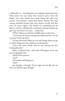comfortable as— Standing there, he suddenly understood why. Men's pants were way looser than women's pants. Given his thighs, now, they should have made things the other way around. And women's t-shirts had shorter sleeves, they kept coming untucked because they were shorter overall, and they were, of course, tighter. The hoodie was something new; he liked it. And he *really* liked the track shoes. He had sneakers for gym class, but these were more … substantial.

"What?" Shane saw the look of deliberation on Jess' face.

"I can't leave the house wearing this stuff tomorrow. Or the next day. Or the day after."

"So leave the house dolled up a bit and change when you get to school. Bring your new clothes in your knapsack."

"Can't. My sister, Sarah, will see me. During the day. Looking like this."

Shane considered that. "And what will happen if she sees you? Looking like this."

"She'll tell my parents."

"And?"

"My mother will disapprove."

 $"And"$ 

Jess thought it through. "You're right. It's not like she can force me. She'll be upset though."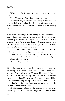"Wouldn't be the first time, right? Or, probably, the last. So …?"

"Yeah," Jess agreed. "But I'll probably get grounded."

He hadn't been going out at night anyway, so that wouldn't be a big deal. Wasn't allowed to. Go out at night. At least not alone. Wasn't allowed to wear earbuds when he went running either.

While they were eating pizza and sipping milkshakes at the food court, Shane took out her smartphone, wiped one of the earbuds, gave it to Jess, then played Taran Tula. It sounded like retro riot-grrls. The song was about— Of course! Shane was a lesbian! Did she think—? Was *that* why Jess liked Shane? Was that why Shane was being nice to Jess?

"Don't worry, you're not my type." Shane had seen the realization cross her face and gave her a way out.

Jess grinned gratefully, nervously. "I don't know whether to be relieved or hurt," he tried to toss it off. Unsuccessfully. "I don't know what my type is."

"Yet. You'll figure it out."

He tried to figure it out during the next cross-country practice. He thought better when he was running. Okay, so he wasn't a girly-girl. That much he knew. He wasn't like Sarah. In fact, all his life, he'd felt more like Kyle than like Sarah. Except that there was a lot about Kyle that made him uncomfortable. Thing is, he didn't know why, exactly. It wasn't that he didn't *like* Kyle. Though, often he *didn't* like Kyle. But there was something— It was more complicated than that.

He tried to put his finger on the emotion, the emotions, he was feeling. And that in itself was complicated. He'd never done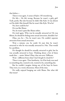that before—

There it was again. A sense of *before.* Of *remembering.*

He felt— He felt wrong. Because he wasn't a girly girl? Yeah, partly. But also because he didn't like Kyle. It was almost as if he didn't like himself. But he wasn't like Kyle. Was he?

No, how could he be?

He was like Shane.

No, he wasn't quite like Shane either.

He tried again. Who was he sexually attracted to? He was fifteen, he should be feeling some sexual attraction, shouldn't he?

Okay, yes, he— No, he wasn't sure. He couldn't separate attraction from sexual attraction.

Wait a minute, yes, he could. It's just that he wasn't attracted to who he was sexually attracted to. Hm. That would be a problem.

He thought he should be sexually attracted to girls, but he was actually attracted to boys. Thinking about a few of them made him … moist. Moist? Okay, that was new. Different.

Wait—different from what? And '*thought he should be'?* 

There it was again. That familiarity. As if his body was used to something else, wanted to do, wanted to be, something else.

But he couldn't imagine dating any of the boys he knew. They were, in a word, obnoxious. Most of the time.

He really enjoyed hanging out with Shane. But what did that mean?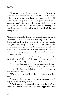He decided not to think about it anymore. For now, he knew he didn't want to wear make-up. He knew he'd much rather wear pants and track shoes than dresses and heels. He knew he liked English more than Geography. He knew he wanted to run. In fact, he added a parenthetical, now that he didn't feel so competitive, he really *enjoyed* running. The experience itself, not the end result. Maybe all of that was enough for now.

"The garage needs to be cleaned out," his mother said one day at the dinner table. She looked to Kyle sitting on her left, and Jessica and Sarah on her right. Their dinner table seating arrangement had always bothered Jess. It made sense that his father was at one end, and his mother at the other, but why was Kyle on one side, and he and Sarah on the other? Because boys and girls. Everything had to be divided into male on one side, female on the other.

"Sarah, you've got your cheerleading tournament this weekend, I haven't forgotten," she added. "But the two of you," she nodded at Kyle and Jess, "can get the job done."

So next day, they got to it. Jess had always thought that men were detail-oriented. Certainly that's what he'd been told. But once he and Kyle had moved all of the big stuff out of the garage, Kyle considered his work done.

"Where are you going?" Jess called after him as he walked away.

"I gotta call Dave. Let me know when you're done, and I'll help you move everything back in!"

"What? You're not supposed to *help* me do this," Jess protested, "you're supposed to *do* it. We're supposed to do it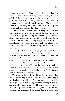Jess

*together*. *All of it* together." But it didn't really surprise him that Kyle had assumed that the cleaning part of it—wiping the grime off all of the no-longer-used toys, the patio chairs, and the garden decorations, then brushing off the shelves, then sweeping the floor—would be done by Jess. By Jess alone. After all, he and Sarah had been doing the dishes, some of the laundry, the dusting, and the vacuuming since they were ten.

And, but, it wasn't just that it *was* cleaning work. It was also fussy work, *detailed* work: when Jess did the dusting, not only did he have to wipe the table tops and counter tops and window sills, he also had to pick up every bloody knick-knack in the house and run the dust cloth along every groove on every bloody knick-knack in the house—*and* crawl under the dining room table and run the dust cloth along every bloody chair leg and cross piece.

Standing in the middle of the garage, Jess looked around him with despair. It would take an hour just to clear the work table for some space—to sort out the mess of screws and nails that covered the table and put them into their respective little drawers in the unit fixed to the wall. Kyle seemed blind to such tasks, blind to the little stuff, blind to the details.

It was the same when Kyle cut the grass. He just did the broad strokes, the easy part. Apparently it was up to Jess and Sarah to clip around the trees and bushes, to do the finickity stuff, the stuff that took twice as long.

What was the logic? Men are bigger than women, so they should handle bigger stuff? That included driving bigger vehicles, Jess noticed. His mom's car was smaller than his dad's. He imagined his mother buying a car that was bigger than his and laughed. His dad would probably buy a bigger-still car the very next day. And yet, men were surgeons. They were also biologists and physicists. Blood vessels, bacteria, atoms—you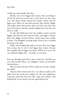couldn't get much smaller than that.

Besides, men *weren't* bigger than women. Sure, according to all the ads and every movie and tv show he'd ever seen, they were. But they'd clearly selected the *smallest* women and the *biggest* men. Most *real* men had narrower hips, thinner thighs, and smaller chests than women. Most real men were *taller* than most real women, and they usually weighed more, but that was about it, really.

So why did Hollywood *select* the smallest women and the biggest men? Because men must be better, and bigger is better? But it isn't. Bigger can just be fatter. And in many cases, smaller is better. The firefighter crawling under a bed to save a terrified kid needs to be small.

Maybe men handled big stuff not *because* they were bigger than women, but *in order to feel* bigger than women. Because they stupidly *believed* bigger was better. Which was true in the case of physical fights, but— Actually, no, even then …

Part way through grade eleven, Jess cut his hair. And felt even *more* like himself. Shane was delighted. Sarah was horrified. And his Mom—

"But you had *lovely* hair! Why would you *do* such a thing?" she wailed.

"Because I like it better this way," was all Jess could say. He didn't have the words, the analysis, for the real explanation. Long hair made him feel more like a girl, more female. And being female, in our society, was not a good thing to be.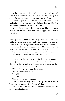A few days later— Jess had been doing as Shane had suggested, leaving the house in a skirt or dress, then changing as soon as he got to school, but it was only a matter of time …

Sarah had graduated and gotten a job, but Kyle was now in grade nine. And he saw Jess in the hallway. Jess saw him first and made a dash for the nearest open room, but.

At first, Jess thought Kyle hadn't said anything, but a week later, his parents ambushed him with an appointment with a therapist.

"Hello, you must be Jessica," the neatly dressed, manicured, and coiffured woman offered her hand, "and Mr. and Mrs. Everett. Please have a seat," she gestured to the three chairs in her office. Once again, her parents flanked her. This time, Jess sat reluctantly between them. He did *not* want to be here.

"I understand that you do not want to be here," Jess looked up sharply, "but your parents are concerned about you."

Jess grunted.

"Can you see that they love you?" the therapist, Miss Dinelli, said to Jessica. "In their own way?" People said that to women about their abusive husbands. It wasn't the way Jess wanted to be loved. "They just want you to be happy."

"If I could wear what I want, I'd be happy."

"And you'd like to wear …?"

Jess told her.

"Is that it?"

"I don't want to wear make-up."

"Clothes and make-up. *That's* what you're upset about? Those are pretty superficial things, aren't they?"

"Yes! So why are they so goddammned important?" So *definitive* is what he meant.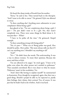He heard the sharp intake of breath from his mother.

"Sorry," he said to her. Then turned back to the therapist. "And I want to be able to swear." He grinned. Kyle was allowed to swear.

"Is there anything else? Anything more substantive to your complaints? About being a girl?"

Jess glared at her. "I'm not *complaining* about being a girl, I just—" He just didn't want to *be* a girl. No, that wasn't completely true. There were some things he liked about it. It was just that— What?

"I have to be polite all the time." He grimaced. Stupid example.

"Is there something wrong with being polite?"

"No, it's just—" What *was* it? Being polite was good. *Men* should be polite. *More* polite. "My mom always tells me that if I can't say anything nice, I shouldn't say anything at all."

"And?"

"It's—" He didn't have the words. The *understanding*. It was a way to silence women. To mute their opinions. Because she never said that to Kyle.

"I'm not allowed to be angry," he tried again. "I have to be polite even when the other person isn't entitled to politeness." That sounded convoluted. But it was closer to what he meant. 'Deference' wasn't in his vocabulary. Yet.

"And I don't like having to explain myself!" he summarized in frustration. Even though he recognized, again, that that was a good thing. *Shouldn't* people be able to, be expected to, justify their feelings, their claims, their actions? Yes, of course. It was just that he hadn't had to do it before. And it was hard.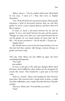"Before, when I—" No, he couldn't tell her that. She'd think he was crazy. "I mean *if* I— Boys don't have to. Explain themselves."

"I see. Well, all of this isn't uncommon, Jessica. Many people experience a kind of mis-match between their sex and their gender. It can be a source of great distress, and that's what we'd like to explore."

It wasn't so much a mis-match between his sex and his gender. It was a mis-match between his past and his present. Though, yes, okay, now, there *was* a mis-match between his sex and his gender: he was clearly female, he knew that, but he felt— No, he just *remembered*— No, he also *felt*— He gave up.

"Explore how?"

Ms. Dinelli went on and on, but the long and short of it was that Jess had three options: talk therapy, aversion therapy, or gender correction camp.

Next day, when Shane saw Jess dolled up again, she knew something had happened.

"The mall?"

Jess nodded.

As soon as they got to the mall, Jess changed. Before she'd left home, she'd stuffed her other clothes into her knapsack for exactly this reason. They headed for a quiet spot at the food court.

"Back in a minute," Shane said, heading for their favourite pizza place. She returned with a couple slices of pizza, a couple chocolate milkshakes, and a couple Chocolate Brownie Thunder sundaes.

"My treat," Shane said. "You look like you need it." "Yeah."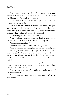Shane waited. Jess took a bite of the pizza, then a long, delicious, draw on his chocolate milkshake. Then a big bite of the Thunder sundae. And then he told her.

"What the fuck is aversion therapy?" Shane exploded. Actually, she thought she knew.

"She'll show me a bunch of images, you know, like girls wearing pretty pink dresses, bows in their hair, and lipstick, I guess, then girls wearing jeans and hiking boots or something, and every time the image is wrong, I'll get zapped."

"*Shock* therapy?" Okay, she hadn't known.

"Not, you know—not like when they hook up those things to your head. I'd wear a bracelet, kind of like a dog collar —"

"You're not some animal!"

"It doesn't hurt much. She let me try it. It just  $-\mathbf{r}$ 

"Doesn't hurt, my ass! It might not hurt you physically, but it'd be doing serious damage to your psyche! After that, every time you think of what you really want to do, you'll be— Hesitant. She'll be planting a reflexive fear of your own desires."

Yeah. Jess hadn't been able to put his finger on it. But Shane nailed it.

"So you'll have to work extra hard, you'll have one *more* bloody obstacle to overcome, just to do what you want, dress how you like, God *damn* it!"

Shane took a long draw of *her* milkshake. And a big bite of *her* Thunder sundae.

"And gender correction camp?" she continued. "What the fuck is *that?*"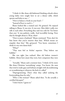"I think it's like those old-fashioned finishing schools where young ladies were taught how to set a dinner table, which spoons and forks to use—"

"How to balance a book on your head—"

"Instead of how to read it—"

Shane barked like a trained seal. He grinned. He enjoyed talking to Shane. It was nice. It was new. Men didn't really ever talk to each other. Everything they said was code for 'I'm better than you.' It was pathetic, really. And incredibly boring. Now that he thought about it. Wait, what?

"How to snare a husband," Shane continued. "First, don't let him know that you're smarter than him.' Which means act stupider than him." She grimaced. "You know, sometimes I think it's our own damn fault."

"What?"

"That men feel so frickin' superior. They believe our bullshit."

She was right, Jess realized. Men *did* believe women's bullshit. About how smart they were, how competent they were …

"Actually," Shane said a moment later, "I think it'd be more like those Christian 'normalizing' camps. You know, the ones that tried to make gays and lesbians straight with deconditioning or reconditioning or whatever the fuck it's called."

"Deprogramming. That's what they called undoing the brainwashing done by cults."

"Who *is* this woman?" Shane asked then. "Is she actually a certified therapist?"

"I don't know. I guess so."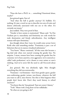"Does she have a Ph.D. in … something? Emotional abuse, maybe?"

Jess grinned again. Sort of.

"And what the hell is gender anyway? It's bullshit. It's nothing. It's just a word we use to describe two sets of traits and desires arbitrarily associated with one sex or the other. It's certainly not innate."

Jess nodded. They were proof of that.

"Gender is how sexism is maintained," Shane said. "As Dee Graham put it, masculinity and femininity are code words for male domination and female subordination. Any intelligent woman will reject femininity."

Jess thought about that. Later, he would come across Lierre Keith who said something similar: "Femininity is just a set of behaviors that are in essence ritualized submission."

"You know," Shane continued, "all this trans shit became a big deal only when *men* started crossing the gender line. No surprise. I mean, women have been crossing the gender line for centuries: we've been assertive, even aggressive; we've entered socalled 'male professions'; we've chosen to wear unisex or men's clothing. And we've never felt the need to call *Newsweek* about it."

Jess grinned. She was absolutely right. Men thought everything they did was newsworthy.

"Feminists—*real* feminists—have been gender queer, gender non-conforming, gender variant, non-binary, whatever the hell you want to call it, since forever. See this is what happens when people don't know shit. Don't they teach history in school anymore?"

"You know they do," Jess grinned. "Just not *women's* history."

"Yeah." Shane took a long draw on her milkshake.

"So what are you going to do?"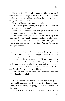"What *can* I do?" Jess said with despair. Then he shrugged with resignation. "I said yes to the talk therapy. We're going to 'explore and resolve childhood conflicts that have led to the wrong gender identification'."

Neither of them said anything for a while.

Then Shane spoke. "You've got to get the fuck away from those people. Your parents."

"Yeah, well." It would be two more years before he could move away. To go to university. Two years.

They finished their pizza and milkshakes, and, sadly, their Chocolate Brownie Thunder sundaes, then just walked around.

"Our carbon dioxide is at 450," Shane said. "We're past two degrees, and well on our way to three. And they're worried about pink and blue."

Next day, in the hall at school, he overheard a girl gush, "He thinks I'm cute!" and he almost stopped to correct her. He probably says that to all the girls, he would've said. Because he himself had once been that insincere. He'd never thought that the girl would actually believe it. He'd thought that she'd see it as the come-on it was. And either respond with a smile, which meant she was interested or— He shook his head. Took a few deep breaths. Focused on the here. The now.

And here, and now, he realized that Shane was only half right. About believing bullshit.

"That's not lady-like," her mom would often reprimand, gently, when he did something that felt … normal. She thought she was helping with the therapy, helping Jess understand how to act like a lady.

But it wasn't that he didn't understand. It was that he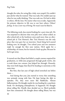## Peg Tittle

thought the rules, for acting like a lady, were stupid. He couldn't just ask for what he wanted. That was rude. He couldn't just say what he was really thinking. That was rude too. He had to defer to others. All the time. No matter what was at stake. Apparently his primary objective in life was to not hurt others. Others' *feelings.* It was a new way of living. He wasn't sure he liked it.

The following week, Jess started looking for a part-time job. He was surprised to discover that even jobs were colour-coded: an after-school job at the hardware store paid more than an afterschool job at Tim Horton's. But Tim Horton's was the only place that even gave her an interview. Good thing he'd started looking now, he thought. Two school years and two summers *might* be enough for first year tuition. He'd apply for a scholarship, of course, but he wanted a back-up plan. Because he *had* to get away.

It turned out that Shane had failed a couple courses required for graduation, so while Jess progressed through grade twelve, she re-took those two courses. Jess helped her through. Honestly, they were both happy that they'd be heading to university at the same time.

But first, that last year of high school stretched out before them …

And during that year, Jess started to worry that something was seriously wrong with him. He kept having the déjà vu episodes. No, they were more like flashbacks. Almost hallucinations. He thought maybe he was heading for a psychotic break. Or developing schizophrenia. It happened. He thought about telling Ms. Dinelli, then decided not to. She'd probably have him committed. He thought about telling Shane, but was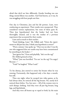afraid that she'd see him differently. Gender bending was one thing; mental illness was another. And God knows, as it was, he was struggling with how people saw him.

One day in Chemistry, Jess and his lab partner, Liam, were conducting an experiment. Their results were unexpected. They considered various explanations, but none of them quite fit. Then Jess hypothesized that the beaker had not been thoroughly cleaned, and it was the residue of a previous experiment that accounted for their results.

Liam said as much to their teacher.

"Good thinking, Liam," Mr. Killick said. "Given the experiments we did just last class, I think your hypothesis is correct!"

"Wait a minute," Jess spoke up. "That was *my* idea! *I* was the one who suggested that our results may have been contaminated by something in the beaker—"

"Just ignore her," Evan said playfully, "she's on the rag!"

Mr. Killick grinned at him.

"What?" Jess was horrified. "I'm not 'on the rag'! I'm angry! Because—"

"Yeah!" he laughed. "What I said."

To his dismay, Jess started to notice his breasts when he was running. Fortunately, this happened only a few days a month, but still.

Then one night, when he escaped into video games, as he had always done, he noticed all the big breasts. No, surely he'd noticed them before. Yes, but now— All of the women were in such skimpy clothing. And they were all just big breasts, long legs, and big behinds.

And they were all beaten up or raped or both, by the main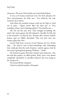characters. The men. How had he not noticed this before?

It was as if women existed *for men*. For their pleasure, for their entertainment, for their use— For whatever the men wanted to do to them.

And when the attacked woman cried out for help or cried out in pain— "Quiet, bitch! Shut the fuck up!" or "You worthless whore, you're fucking pathetic!" *How* had he not—

Ah. He was the 'you' now. That changed everything. He tried a few more games, but felt sickened—literally, he felt sick to his stomach—at what he saw. Woman after woman, fucked, beaten, spat on, killed, discarded. That was how men saw women, girls, him. Her.

*Grand Theft Auto, Assassin's Creed, Hitman, Far Cry, Watch Dog* … He tried in vain to find something—else. Something that could give him the rush of power, control, agency, that he was used to getting from gaming. Without— Nada.

He found one game that had a female main character—but she had that perfect, so-called perfect, body, and it was almost completely unclothed. It cancelled whatever she was trying to do, trying to be.

He turned off the computer.

And never played another video game.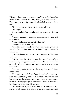"Mom, sit down, you're not our servant," Jess said. His mother always walked around the table, dishing out everyone's food. They could just as easily pass the bowls and platters around the table.

"Oh, I know that, but your father worked all day…"

"So did you."

She just smiled. And truth be told, Jess hated her a little bit for it.

Then he decided to speak up about something else he'd often noticed.

"Why does Kyle get a bigger slice than me?"

Everyone stared at him. Her.

"I'm older, don't I need more?" In some cultures, men got not only the most food, but the best food. They ate before the women did.

"Men need more because they have more muscle," his sister explained.

"Maybe that's the effect and not the cause. Besides if you want to bring biology into it, as females, and the ones who will create the babies out of our own bodies, surely we're the ones who need more."

"Are you planning to create a baby any time soon?" Sarah mocked him.

He hadn't yet found "Trust Your Perceptions", and perhaps never would, as the blog would soon be taken down, but someone had pointed out that women feeding men was an appeasement, an international campaign to plead for niceness—Here, take this food, just please stop killing the children, okay?

His mother was right, of course. His father *did* work all day. He ran an advertising firm, and he often came home late. And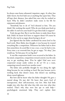he always came home exhausted, impatient, angry. At what, Jess didn't know, but he'd lash out at anything that upset him. They all kept their distance. Jess asked him once why he worked so hard. Why he didn't somehow make room in his life for enjoyment and pleasure.

"Somebody has to do it!" he'd shouted at him. "Do you think I *like* working this much? Who do you think puts food on the table? A roof over your head? I've got three kids to support!"

Yeah, Jess got that. But it was his choice to make those three kids. Didn't he know he'd have to support them? Of course he did. So why was he so angry about having to do so?

Jess figured that his father attributed his stress level to his hard work. More likely, Jess thought, it was because he treated everything like a competition. Whenever his father had to drive him somewhere, he acted like it was a race, a race he had to win. Every time a car overtook him, he got so angry. "It's okay," Jess would say, "let him pass. It's no big deal."

It was like cooperation hadn't even occurred to his father. In his mind, competition, competition toward control, was the only way to get anything done. Was he right? Had men *never* cooperated except under orders to do so? Or as a team, competing toward control over another team?

His father also probably thought he was doing the right thing because he was working so hard. But just because you're working hard, that doesn't mean, that doesn't say anything about, moral rightness.

But how did he know what his father thought? He gave a mental shrug. He just did. He knew that men's level of introspection, their self-awareness, was low. Men had little insight into why they did what they did, even into what they wanted. That's why they were less apt to seek help psychological, emotional, help. They can't explain their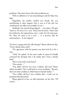problems. They don't know what their problems are.

Well, in addition to it was emasculating to ask for help. Any help.

Regardless, his mother worked too. Surely she was contributing to their support. But it was as if her job, her contribution, her effort was invisible. It was—

Suddenly, his mental shrug slipped … into place. Oh god. That's it. *He used to be a man*. That's how he knew. That's why his tendencies, his expectations, were—male. For the most part. So, what, he used to be a man … *in a previous life?* So reincarnation— It *does* happen?

"So how's it going with the talk therapy?" Shane asked one day. "You're almost done, yeah?"

The agreement with his parents was that he'd do it for a year.

"Yeah," he replied. "A few more weeks. It seems I've finally convinced the therapist that I do realize that I have a female body."

"But it came with a male brain?"

"Not exactly …"

"You didn't tell her you were a lesbian, did you?" Shane asked, horrified. That could lead to worse problems. "Because that's not what a lesbian is. Male brains in female bodies—"

"No, I didn't tell her I was a lesbian. But— Look, can we postpone this discussion?"

Shane glanced at her, an odd expression on her face. "Of course."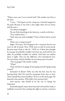"Where were you? I was worried sick!" His mother met him at the door.

"I was—" He'd gone out for a long run. And had stopped in the park. Because it was such a clear night, there was no moon, and the stars—

"It's almost midnight!"

He saw Kyle slouching in the doorway, a smirk on his face.

"You could've been—"

"Kyle stays out until midnight!" None of them had an actual curfew.

"Kyle's not a young woman!"

Right. Of course. He'd forgotten for a moment that he was more at risk of attack. Now. Well, more at risk of *sexual* attack. Because wasn't Kyle at risk of— Well, no. Unless they thought he was gay, he probably wouldn't be beaten up. And until he was older, he probably wouldn't be robbed. And Kyle was seldom alone at night. *That* was the difference. He remembered now. He was always with his buddies, he was always part of a pack.

"The sex gangs!" His mother wailed.

"What?"

"Kyle said there are gangs of men going around raping young women!"

Seriously? In Barrie? Why was this the first time he was hearing about this? He read the newspaper from time to time. There should have been headlines. Was it on the back page? He listened to his teachers. Why didn't *they* mention this?

And anyway, why should *he* be the one to change his behaviour?

Remembering the many times boys had criticized her body, it suddenly occurred to her: perhaps the right to criticize a woman's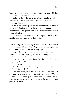body derived from a right *to* a woman's body. And if men felt they had a right to *every* woman's body …

And the right to the sexual use of a woman's body leads to, includes, the right to the reproductive use of a woman's body. Hence, no abortion.

Or is it the other way around: the right to reproductive use of women's bodies, perhaps thought to be grounded in the continuation of the species, leads to the right of all sexual use of women's bodies.

But women don't think they have a right to men's sperm. And hence to the sexual use of their bodies.

The following week, all of the girls were called to an assembly. It was the annual 'How to Avoid Rape' assembly. Be vigilant, be careful about where you go, and when you go …

Angrily, Shane glanced at Jess beside her, then spoke up. "How about you just tell the guys, 'Keep it in your pants'?"

Someone cheered.

"And," another girl shouted out, "tell them, 'Don't put any drugs in a girl's drink!'"

More cheers.

"And 'If you can't resist your dick, don't go out at night!'"

"*Or* during the day!"

Next day, when Jess walked into the school, she saw that someone had written on the general notice blackboard: "Women do not rape. End of story. If someone doesn't want to have sex with us, we feel sad and go home and write about it in our journals. Hypotaxis."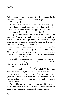When it was time to apply to universities, Jess announced to his parents that he wanted to become a psychologist.

"That's nice, dear."

What? No discussion about whether that was a good choice? About which university to attend? It didn't really matter, because he'd already decided to apply to UBC and SFU. Toronto wasn't far enough away from Barrie. Still.

They'd already discussed which universities were best for Business—Kyle's choice—and Kyle was only in grade ten. Actually, now that he thought about that, he didn't think Kyle wanted to go into Business. Their *father* wanted Kyle to go into Business. So he could join him at his firm.

Their response was nothing new. No one had said anything when he'd announced that he'd gotten the Tim Horton's job. No congratulations on getting the job, no comment that he could've gotten a better job, no concern that the job would take time away from his school work.

It was like his aspirations weren't … important. They acted like he was just putting in time until— Until what? Ah. Marriage and kids. Seriously?

But he had no intention of getting married.

And he certainly no intention of having kids. He hated kids. Sarah babysat for a neighbour and once Jess had done it for her, because it was prom night. He vowed never to do it again. (Though he was glad that it had meant not having to deal with the expectations that he fuss and fawn over Sarah and the goddamned prom.)

"It'll be different when they're your own kids," his mother had assured him, when he'd confessed that he'd hated their whiney demands, their emotional outbursts, their relentless egoism.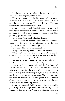Jess doubted that. But he hadn't, at the time, recognized the assumption that had prompted the assurance.

Whatever, he understood that his parents had no academic expectations of him. On the one hand, it was insulting. On the other hand, it was liberating. He enrolled in a double major program of Psychology and Gender Studies.

Shane, on the other hand, thought it was a great idea. "And that's a great combination! We focus so much on gender studies as a cultural or sociological phenomenon, but surely individual psychology plays a huge role."

Jess nodded. That's exactly what he'd thought.

"I mean, look at you and me," Shane continued. "We were exposed to the same cultural influences as all the pink vapourheads and yet … How do we explain us?"

Jess grinned. How do we explain us indeed.

"Are you still thinking about art school?" he asked her.

"Absolutely." Shane was into something she called new media collage art. Her YouTube videos were amazing. One of them, Jess' favourite, was a collage of what looked like home movies the squealing engagement announcement, the dress-fitting, the bridal shower, the procession down the aisle, the reception and the speeches and the wedding cake and the first dance—all presented against a soundtrack of "Here Comes the Bride" with a voice-over enumerating the terms of the marriage contract through history, clearly indicating its origins in property transfer, and then the current statistics of wife abuse. The piece ended with the statement that 94% of all women get married. Shouted in silence with bold type on the screen, that fact then became covered, completely hidden, by confetti.

Shane had gotten a clerical job at an art gallery and was, like Jess, trying to save enough money for her post-high school dream. She had her eye on VanArts, a school in Vancouver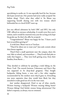specializing in media art. It was especially hard for her, because she'd just moved out. Her parents had never really accepted 'the lesbian thing'. That's what they called it. So Shane was supporting herself, sharing rent with two women who'd befriended her at a local GLBT meet-up.

Jess was offered admission by both UBC and SFU, but only UBC offered an entrance scholarship. It would cover first year's tuition, and it would be renewed every year for as long as he kept his grades up. So that's the offer he accepted.

"Congratulations!" Shane was happy for her. "I knew you'd have no problem getting in!"

A week later, Shane was in at VanArts.

"They'd be idiots not to want you!" Jess said, ecstatic about their future together.

They'd find a small apartment near the campus, share the rent, bike to school, and everywhere … They'd each find jobs to make that happen … They were both getting away, from their families, from Barrie …

They decided to celebrate by spending a week hiking on the Bruce Trail. The stretch between Tobermory and Dyer's Bay was supposed to be drop-dead gorgeous. They bought backpacks, hiking boots, a tent, and a few other supplies recommended by the outdoor store they'd gone to. Everything was more expensive than they would have liked, but they intended to make good use of it on the west coast.

Jess' mother disapproved. Hard to say of what, exactly. Women bearing a backpack? Women wearing hiking boots? Women hiking? God forbid, women being adventurous? Her father's response, as always, was no comment.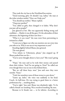"Good morning, girls. Or should I say, ladies," the man at the ticket window smiled. "How can I help you?"

"You should say neither," Shane replied.

"I beg your pardon?"

"You called us girls, then changed it to ladies. Why don't you just call us people?"

Jess glanced at her. She was apparently feeling strong and confident … Maybe it was all the gear. Or the adrenaline of their adventure, the beginning of their new lives—

"What is it you want?" the man went from patronizing to irritated in a flash.

"I want you to figure out why you mention our sex every time you refer to us. Why is our sex so very important to you?"

Standing slightly behind Shane, Jess grinned.

The man glared.

"Two tickets to Tobermory, please," Jess stepped up. If Shane pushed him too far—

"You've never thought about it, have you?" She wasn't giving up.

"Nope," the man said as he took their money and passed them their tickets. "And I'm not going to. Next!" he called out even though there was no one in line behind them.

"But we call them boys, men," Jess said once they were outside. "Guys."

"Yeah, but somehow none of those terms is a put-down."

"Listen up, *ladies*," the voice was suddenly in his head. Coach. At half-time. He was trying to goad them to a better performance by … insulting them.

"You're right," Jess said. Shane was absolutely right. To be called a female *was* insulting. Was *considered* insulting. By men.

Because to *be* female was … to be inferior. According to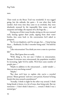Peg Tittle

men.

Their week on the Bruce Trail was wonderful. It was rugged going, but the solitude, the quiet— It was what they both needed. And every time they came to an overlook, they were absolutely stunned by the impossibly blue water, teal and turquoise and indigo, the expanse of it, the huge sky …

During one of their many breaks, sitting on the sun-warmed rock, leaning against their packs, sipping from their water bottles, Jess came back to the conversation he'd asked to postpone.

"So I'm not dysphoric, and I'm not gay, but … I keep having these … flashbacks. It's like I *remember* being male." He held his breath.

"Like reincarnation? You think you were a man in a previous life?"

Wow. She'd gone there so easily.

"Well, thing is, I'm not sure I believe in reincarnation. Because if everyone were reincarnated, the population wouldn't be increasing, right? It'd be stable. We'd have same number of people, just—"

"Maybe in addition to the reincarnated … souls? minds? … there are new ones being created."

"Maybe."

"But then we'd have to explain why you're a recycled person," Shane grinned, "and not a new person. Karma? Is being female this time around a punishment?"

"Actually, I think it might be the other way around. I think being female is better, in a lot of ways, than being male. But my memories— I don't think I deserve a … reward. I think I was a normal guy."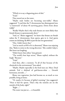"Which is to say a disgusting piece of shit."

"Yeah."

They stared out at the water.

"Maybe male bodies are becoming non-viable," Shane suggested. "I read that the Y chromosome has disintegrated into "a trainwreck" of about 45 surviving genes. Down from about 2,000."

"Really? Maybe that's why male fetuses are more likely than female fetuses to spontaneously abort."

"And, or," Shane suggested, "we know that fetuses are female unless the Y chromosome, from sperm, gets to it. And sperm counts are declining. By 80% in just the last two generations."

"Hm. I didn't know that."

"*And* as much as 85% of it is abnormal," Shane was enjoying this, "likely to swim in the wrong direction." She couldn't help it. She burst out laughing.

"Didn't know that either," Jess grinned.

"The world's best kept secret," Shane replied, without the laugh. "Because."

"Yeah."

And then, after a moment, "Is all of that because of the chemicals in the environment?" Jess asked.

"Maybe. Maybe especially in the food men eat. Meat. Dead animals. Fed a shitload of god-knows-what … Growth hormones, steroids …"

Shane was vegetarian. Jess had become so, as much as was possible, living at home.

"Or maybe it's because of global warming," Jess suggested. "Heat is bad for sperm. That's why the testicles are on the outside of the body, right?"

"Right …"

The water was just so … *so* beautiful.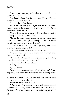"How do you know you just don't have your old male brain, in a female body?"

Jess thought about that for a moment. "Because I'm not thinking about sex all the time."

Shane laughed. "Case closed."

And it was so nice, Jess thought. Not to have a sexual thought every eight seconds. He'd come across that figure somewhere. He believed it.

"And I don't feel as … driven," Jess continued. "And I definitely don't feel as … combustible."

"But maybe that's because you've got estrogen rather than testosterone coursing through your body. Not because you've got a female brain rather than a male brain."

"Could be. But a male brain would trigger the production of testosterone, not estrogen, right?"

"Yeah, but without the testicles to produce it—"

"No, we, female bodies, have testosterone too," Jess said. "Just not nearly as much."

"You're right. Okay, so it must be produced by something other than testicles. So … where were we?"

"Female body. Female brain. Now."

"Ah. Right."

Again, the water.

"Maybe your parents arranged a brain transplant," Shane suggested. "You know, like that thought experiment by what's

his name, Williams? Shoemaker? No, wait. You said you *don't* have a male brain in a female body."

Shane gave it some more thought.

"What if we're in the future and you really fucked up and you're in one of those prison sentence machines that makes you *feel* like you're living years in hell when in fact it's just a few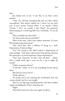days."

Jess looked over at her. "I saw that in an *Outer Limits* episode."

"Yeah, *The 100* had something like that too. But," Shane reconsidered, "that doesn't explain me. I mean, I'm not some part of your private Truman Show. I cut myself, I bleed. 'Course, I *don't* cut myself, I also bleed," she grimaced. Menstruating on a week-long hike was a real hassle. To say the least.

"Plus, I wouldn't say this is hell … "

"So what exactly do you remember?"

"Most of the time, I don't have explicit memories. It's more like having strong expectations."

"Like you'd have after a lifetime of living as a male. Expectations of male privilege."

"Yes!" He turned to her. She'd nailed it. Expectations of male privilege. "And those expectations keep getting slammed. My experience, my *actual* experience, keeps surprising me.

"And," Jess continued, "it's like I have all these … habits. Like a couple weeks ago, I went out for a run at night. By myself."

"Habits or genuine desires?"

"It felt like a habit. As if it was something I'd just always done."

"But did you *want* to do it?"

"Well, yeah but—"

"So maybe you're just rejecting the socialization that says women *shouldn't* go for a run at night."

"But I'm not rejecting everything female. And that wouldn't explain the flashbacks. If that's what they are."

"Right."

They both stared out at the water again. In silence.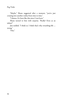Peg Tittle

"Maybe," Shane suggested after a moment, "you're just crossing into another reality from time to time."

"I dunno. It's been like this since I was born."

Shane turned to him with surprise. "Really? Even as an infant?"

Jess nodded. "I think so. I think that's why everything felt … wrong."

"Hm."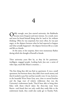## 4

ddly enough, once Jess started university, the flashbacks Oddly enough, once Jess started university, the flashbacks<br>became more frequent and more intense. As a result, more and more he found himself doing what he 'used to' do, without thinking. Often he was surprised, but more often, he was just angry: at the disjunct between what he had expected to happen and what actually happened—the disjunct between life as a male and life as a female.

At the same, to her surprise, there were momentary flashes during which she thought of herself *as* female.

Their university years flew by, as they do for passionate, intelligent, engaged people. Looking back, Jess saw a series of video clips, much like Shane's creations …

The first thing they did was find an apartment. It was a small apartment, but between them, they didn't have much money and they'd needed to pay first and last month's rent. It was, however, in the beautiful West Point Grey area, close to several beaches and the huge tract of relative wilderness that was the University's endowment lands. They'd been able to bring their bikes with them—they'd taken the three-day train from Barrie—and found that not only could they easily bike to the endowment lands, they could also easily get to Stanley Park.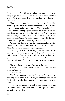They did both, often. They also explored many parts of the city, delighting in the many shops, the so many different things they saw … Barrie wasn't exactly a hick town, but it was close, they now realized.

However, they soon found that if they needed anything fixed, they were put at the bottom of the list, and the landlord acted like he was doing them a favour. When Jess called him on it once, the man simply replied that he'd like to help them out, but there were other things he had to do. 'Yes,' Jess had replied, 'things like fixing the faucet on our tub! We're not asking for your *help,* we're asking you to do your job!' But then it took even longer for the man to get around to it …

"Is it that they just can't wrap their heads around *working* for women?" Jess asked Shane, after yet another such incident. "They have to frame it as a favour, as helping out?"

"I'd thought it was that they're just so entrenched in the chivalry tradition, perhaps to the point they don't expect women to have money of their own, to be *able* to pay them, but I like your explanation better. It would also explain why they do a half-assed job most of the time. Backlash. For *having* to work for a woman."

"So, what do we have to do? Come on to the man?"

Shane laughed. "Well, I don't think *I* can pull that off, but you're welcome to try."

"Don't think so."

The faucet continued to drip, drip, drip. Of course, the finally figured out how to take it off (you had to pry the cap off first), took it to a hardware store … and the problem repeated itself.

They gave up, wandered the aisles themselves, found one that looked exactly the same, bought it, managed to install it correctly. No more drip.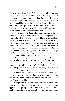The next thing they did was find jobs. Jess considered consider calling all of the psychologists listed in the yellow pages, to ask if they would hire him as an intern, but then decided it was a ridiculous long shot. Shane was already an artist, so no doubt art galleries would love to hire her, and one did, but he hadn't even taken Intro Psych yet. Before, he would've just asked around, but now … who would he ask? His professors? The ones who, so far, didn't even acknowledge her existence?

So his first stop was Student Services. He stared at the job board. He hated kids. He especially hated looking after them. He'd make a lousy waitress. The Tim Horton's job had been bad enough, but at least he'd been behind the counter or at the drive-through. He wouldn't want to wear the uniform that seemed to be compulsory: short skirt, tight top, heels. It wouldn't be enough to be punctual and pleasant. He'd have to smile and flirt for tips to supplement the below-minimum wage pay that wouldn't even be enough to cover his share of the rent, let alone food, books … It would be demeaning.

And *there* was a topic for his Intro to Gender Studies paper: not just why women were paid less than men for the same job, because men and women so seldom *did* the same job, but why women's jobs paid less than men's jobs. Why were employers *allowed* to pay waitresses less than minimum wage? *Forcing* them to smile and flirt for tips …

The library needed people to shelve books, and the Communications department needed people to mark assignments for the remedial English course. He took a card for each of those jobs. There was nothing else.

Several professors needed research assistants, but those jobs weren't on the board. They went to whoever the professor approached (typically a male student; to approach a female student would be to court scandal) or to whoever approached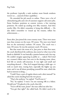the professor (typically a male student; most female students weren't so … assured of their capability).

He extended his job search to online. There were a lot of telemarketing jobs and a lot of customer support call centre jobs. Some freelance positions as content writers, a few tutoring positions. He ended up sending over fifty resumes. And then *another* fifty. He didn't remember it being this difficult … He also didn't remember to 'round up' his resume, inflate his achievements …

Soon after, Jess joined the cross-country team. There were more men than women on the team. Of course. The men were listed first on the university's website. Of course. The coach was a man. Of course. So was the assistant coach. Of course.

But that wasn't the worst of it. Just prior to their first meet, the coach distributed the uniforms. Jess stared at what was in his hands in disbelief. It was basically a panties bottom and a bra top. He couldn't imagine appearing in public so … naked. He'd tried on a women's bikini once, but even in the dressing room, alone, he'd felt so utterly self-conscious. It was tight and small and everything showed … Plus, he'd stopped shaving a while ago—it took so much time, waxing hurt, especially the higher up you went, and it was all about pornifying yourself for men, which she had no interest in doing …

"Could I have a pair of regular shorts and a shirt instead?" he asked the coach, handing back the two pieces.

"That's the uniform," he replied. "You'll wear it."

"No," he replied, "I won't. I'm not running 10k in a bikini. Would you?" He glared at the coach, then left.

"You're off the team, Jessie!" the man called out after her.

"You got that right!" she called back. He didn't need to be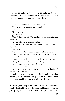on a team. He didn't need to compete. He didn't need to win. And with a jolt, he realized that all of that was true. He could just enjoy running now. More than he ever did before.

Shane was surprised when she came home early.

"Didn't you have your first meet today?"

"I quit."

"Okay … why?"

Jess told her.

"Yeah," Shane sighed. "Yet another way to undermine our competence."

Jess looked at her, not understanding.

"Having to wear a bikini turns serious athletes into sexual objects."

Ah. But—

"Can't we be both?" Not that he wanted to be a sexual object.

"You tell me. When you see— Before, when you saw a woman in a bikini—"

"Yeah." It was all he saw. It wasn't that the sexual trumped everything else. It was that it was the only thing he saw.

But who *cared* what men saw? *She* didn't!

Didn't she? She'd better. Because what men saw, what men thought, that was all that mattered. In a male-dominated society. Such as this one.

And as long as women were sexualized—and my god, but everything, every video game, every ad, every tv show sexualized them—men would see them as sexual, rather than collegial.

He thoroughly enjoyed his first-year classes. Psychology, Gender Studies, Philosophy, Sociology, and Biology. He started participating in class more than he had in high school, but so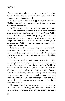often, so very often, whenever he said something interesting, something important, no one took notice. Either that or his comment was somehow dismissed.

In some classes, she just stopped making comments. Nothing she said was interesting or important anyway. Apparently. It used to be …

Which is why he noticed that it didn't happen to the men. Not only were they not ignored or dismissed as often, when they were, it didn't seem to silence them. They didn't care. Which didn't— Ah. It was just words. Men participated in classroom discussions as if they were … certainly as if they were competitions, but also as if they were social events, games, entertainment. Which was, he realized, exactly what competition was. For men.

Needless to say, he found this realization—recollection? about men's attitude to conversation horrifying. Words have meaning! And meaning is important! No wonder the world isn't getting better and better: the people in power aren't really talking to each other.

On the other hand, when his comments weren't ignored or dismissed, they were challenged. Aggressively. Almost invariably by one of the guys in the class. She was made to feel like he didn't know what he was talking about. Maybe she didn't, but why couldn't people explore each other's comments, elaborate upon them, refine them, move cooperatively toward something more cohesive, something more complete, something more valid? People would be more open and receptive then, instead of, as seemed to be the case, defensive; concession need not be an admission of defeat.

He soon realized that when there were only women in the class, that's exactly what happened. There were more smiles, more laughs, no pretensions of sobriety (men's cover, presumed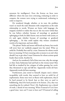synonym for intelligence). Even the frowns on faces were different: where the men were criticizing, evaluating in order to compete, the women were trying to understand, evaluating in order to improve.

He wondered though, whether, at its root, the problem wasn't so much the male obsession with competition as the male relationship to words. Women are better with language—he stopped, startled to realize this was so: she was more verbal than he was before—whether because of neurology or gendered upbringing or both, he didn't know; men are better with action, so it's said, again whether because of neurology or gendered upbringing … So that could explain why women considered words to be important, and men didn't.

The phrase 'Sticks and stones will break my bones, but words will never hurt me' suddenly popped into his mind. What an awful lie. Probably first said by a man. Someone for whom words have no meaning. Or have meaning only as means to an end: what should I say to get what I want? Someone for whom actions speak louder than words. Another lie.

And yet, he wondered, if all of that were true, why the outrage at what Anita Sarkeesian had said back in the twenty-teens? Men had felt so insulted by her critiques of online gaming, her *words,*  they threatened to rape and kill her. Apparently words *did* hurt. Apparently words *did* have meaning.

Furthermore, Jess noted to himself, despite men's relative incapability with words, they seemed to have an awful lot of euphemisms. Some men were so fluent with euphemism, they'd be hard pressed to be literal. Just as they were so used to bullshitting, they'd be hard pressed to be honest. (Yes, that was something else he realized. Now.) Ah. Euphemism was a denial of truth, a denial of true meaning. What if instead of 'Let's have a good time,' men *said* 'I want to have sex?'? If instead of calling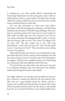## Peg Tittle

it 'working out a yes,' they actually called it 'pressuring and threatening'? Euphemism was also, among men, code: a ticket to tribal inclusion. And so a status marker. No doubt the man who called their collective bluff and said out loud what they actually meant would be kicked out of the club.

Jess was also interrupted so much more than before. Sometimes it felt like being ignored, sometimes it felt like being dismissed, and sometimes it felt like being challenged. And every time, he stood his ground. He wasn't nice, he wasn't polite, he didn't defer, he didn't 'give way'. He continued to say what he was saying, sometimes interrupting himself to glare at the guy who was trying to talk over her: "Hey, dude. I'm talking. Can't you hear me?" The guy would turn to her with such astonishment. "I said, can't you hear me?" "Yes," the guy would recover, "I can hear you! Fuck!" "Then why did you start talking over me?" No response.

She would learn later that women were interrupted four times more often than men. (In fact, contrary to the stereotypes, men talk four times as long as women.) And that most of the interruptions are negative. And that men considered women to be dominating the conversation when they talked just 30% of the time.

He noticed that even when there were only one or two men in an otherwise all-female class, they dominated. He suddenly understood the appeal of women-only schools.

One night, while Jess was waiting in the bus shelter for the next bus—whenever it rained, she opted for the bus instead of her bike—she saw a guy heading toward the shelter, and for a moment, she considered leaving and then returning. That's what all the orientation material said to do. But damn it, why should he be the one to do that? He'd have to wait another half hour for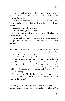the next bus. And where would he go? Who's to say the guy wouldn't follow? If *he's* the problem, *he* should be the one to leave and then return.

The guy entered the shelter and stood beside her. Not close, but … he *did* enter the shelter. Well, why shouldn't he? It was raining.

A minute or so of silence passed.

Then, "Are you *afraid*?" he taunted.

She recognized his voice. It was the guy who'd talked over her in class that one day …

He was taller, he was bigger, and, sigh, he was probably stronger. So, "Yes," she admitted. Then tore out of the shelter and ran.

Next morning, she moved the bear spray she'd bought for their hikes into the mountains from her backpack into her knapsack.

"Whatcha doin'?" Shane asked.

Jess told her what had happened.

Shane was angry. At Jess. "Okay, so you bearspray the next guy, and he comes back, with bearspray himself. Or worse, acid."

Jess froze. He hadn't thought of that. Why would he? "Well what am I supposed to do? Stop being out at night for the rest of my life? Let the guys in class interrupt me, talk all over me?"

Shane shrugged.

He was surprised. Usually she was a bit more … kick-ass.

"How much of a doormat do I have to be to survive as a female in this world?"

Early on, Jess decided to get some contraception. He was … curious. But still, no way, did he want to be an incubator. Or a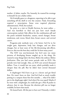mother. A father, maybe. No, honestly, he wanted his evenings to himself. So not a father either.

He'd initially gone to a drugstore, expecting to be able to get something off the shelf or over the counter. Nada. Everything required a prescription. Some even required physician administration. Well, *that* sucked.

So, prior to a visit to Health Services, he went online … And was horrified to find out just how *much* female contraception sucked. Side effects for the combination pill and the patch included headaches, nausea, mood changes, breast tenderness, and, worse, blood clots, breast cancer, and cervical cancer.

Progestin-only methods were a bit better: he'd be in for weight gain, depression, body hair changes, and sex drive changes, but at least none of the life-threatening side-effects. Even so, this was the best they could do? In how many years?

The IUD was non-hormonal, but he'd seen too many pictures of developing fetuses tangled up in the thing. He wanted to stop things *before* the fetus. Before the embryo. Before *fertilization*. Plus you had worse periods with an IUD. His periods were bad enough. Also, an IUD cost several thousand dollars. True, it would last ten years, which probably made it cheaper than the pill. But he didn't have several thousand dollars.

A diaphragm? He'd have to go to a doctor and get fitted first. He wasn't keen on that. And he'd had so much trouble putting in a tampon those first few months … what if he didn't put in the diaphragm right? And what if he was raped? Maybe if he went with a diaphragm, he could also get a Plan B packet in advance. Just in case. Because the abortion pill was no longer available, he knew that much.

He leaned back. All this just to have sex? Honestly, it didn't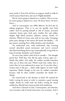seem worth it. Even if he *did* have an orgasm, would it really be worth nausea, blood clots, and *cancer*? Highly doubtful.

But he wasn't going to depend on a condom. That is to say, he wasn't going to depend on a man. He knew better. He *knew*  better …

And *no* contraceptive was 100% effective. So he'd also be risking pregnancy. That is to say—he quickly went back online—he'd be putting himself at risk of nausea, increased urination, breast pain, back pain, swollen feet and ankles, fatigue, high blood pressure, diabetes, anemia. Death. Or abortion. Which of course came with its own risks. Cramping, pelvic pain, damage to the uterus, the bowel, the bladder … Or just nausea, vomiting, fever, chills, diarrhea, and a headache.

He understood now, *really* understood, why 'screwing around' described sexual intercourse and 'you're screwed' described something about to go catastrophically wrong with no hope of remedy. Similarly, 'you're fucked'.

So every time, before, when he'd so casually— The thought jarred him. Well then why did the girls, women, agree to— Maybe they didn't. Not really. He couldn't actually remember what any of them had said. Which made him realize that it wasn't that 'no' was understood to mean 'yes'. It was that what a woman said, or did, just … didn't really register. It wasn't really important. Maybe though, in his case, he couldn't remember because, well, he often couldn't remember the details of— Maybe.

He turned back to the decision at hand. He resisted his body's craving for pizza in order to maintain a good running weight. Surely he could resist his body's craving for sexual satisfaction. Should intercourse provide such satisfaction.

And then it dawned on him. Contraception, and abortion, were necessary only if sexual intercourse was necessary. And it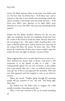wasn't. He didn't need sex. More to the point, men didn't need sex. He *knew* that. So all that fuss— If all those men—and it seemed to him that it was mostly men protesting outside the clinics, certainly it was mostly men who made the laws— If all those men didn't want abortion to be legal, didn't want abortions to occur, why didn't they just stop ejaculating inside women?

Despite the bus shelter incident, whenever the sky was just right, not completely clear but not completely cloudy, Jess went for a walk on the beach to watch the sunset. Because damned if she was going to let— She made a habit of getting there a bit early, to find the perfect spot. And he noticed, now, that most of the women left *before* the sunset. He knew why. Now. With shame, he realized that all that time, women couldn't enjoy the sunset, the stars, the night, in solitude—because of him.

Shane suggested that once a month, they borrow or rent a car she'd obtained her licence back in Barrie—and head to the mountains or to the islands, to hike or to bike … Jess enthusiastically agreed. On one such excursion, as they pulled into a gas station, they saw a man, an ordinary-in-every-way man, get out of his car and approach the attendant. Who had seen him approach and had stopped to wait, to see what he wanted.

Shane just stared. "Imagine going through life assuming people will pay attention to you," she said. "And being right about that."

Jess looked over. He didn't have to imagine. He could actually remember. Assuming exactly that.

Then, as the man returned to his car, he tossed something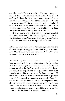onto the ground. The way he did it— The way so many men just toss stuff— Jess had never noticed before. It was so … 'I don't care'. About the thing tossed, about the ground being littered, about anything. To care is to be vulnerable. And a man must not be vulnerable. But it was sick, that attitude, that belief: to be a man is to not care about anything. (Well, anything other than tribe and status.) And it was dangerous. Not to care about ethics, the environment, beauty, pleasure, others …?

Over the course of that first year, they went to several of the islands, most notably Galiano, Salt Spring, and Saturna, they hiked part of the West Coast Trail, they went to Tofino … And they both decided to never go back to Ontario.

All too soon, first year was over. And although in the end, Jess did well enough to re-apply for the scholarship, it had been hard. He didn't remember trying that hard before. He didn't remember *having* to try that hard before.

Part way through his second year, Jess had the feeling she wasn't being provided with the same information as the guys in her class. She couldn't put her finger on exactly what she was missing, on what she didn't know—because she didn't know. For example, not only did most of the guys seem to know about research assistantships, they also seemed to know that you could take a look at previous years' mid-terms to see what questions were asked. Apparently the questions were recycled from time to time. Even if they weren't, it was a good way to prepare. They also seemed to know a lot more about grad school than she ever would. And yet, she'd never seen them in Student Services, perusing the job board or the grad school files or the career files … So how did they know? He couldn't remember …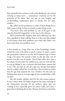Eyes opened by her courses as well as her flashbacks, she started noticing so many more … annoyances: consistent use by the professor of 'he' when 'they' was just as easy, lengthy, and condescending, explanations given to female, but not male, students …

She called out her professors on some of these things, but it didn't seem to help. In fact, it seemed to make things worse.

"You know what your problem is," one of the guys in the class she'd just left stopped her on her way to the cafeteria.

She'd automatically stopped when he'd addressed her. But then, appalled, he kept walking. How is it that men felt entitled to tell women what their problems were when they didn't even know what their own problems were?

A few months in, Craig, from one of her Psychology courses, invited her over to his dorm to watch a movie. It wasn't a movie she particularly wanted to see, but she'd wanted to get to know Craig a bit more. He seemed a little on the shy side, sort of serious, but also sort of quirky. They'd had coffee after class a few times, but Jess knew he couldn't just come out and ask him to, say, go hiking. It was a real pain, this little dance women had to do. (The one time he *did* ask a guy out, the guy had replied that he couldn't afford her. It took him a few seconds to realize that the guy had assumed she was a hooker.) So she said yes, thinking that such an evening might be less stressful than a fullout date.

She did wonder whether she'd be the only woman present. It was a men's dorm. He hadn't forgotten the many warnings in the Orientation material. Or his mother's alarm that one evening. In fact, especially given his sunset walks, he'd done a great deal of thinking about that. Because he'd had no idea that,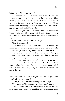before, that he'd been so … feared.

She was relieved to see that there were a few other women present, sitting here and there among the many guys. They found space on one of the several couches arranged around a very large flatscreen tv, then Craig went to a table full of refreshments. He brought back an assortment of chips, pretzels, and popcorn, and handed Jess a drink.

"No thanks," Jess said, "I brought my own." She pulled out a bottle of juice from his knapsack. He felt silly doing so, but it was what the Orientation material had recommended women do.

Craig looked insulted. And a little angry.

"You don't trust me!"

"No, it's— Well, I don't know you." Or, he should have added, anyone else here. She smiled, to soften— Then he caught himself, being so ingratiating, and wiped the smile off his face.

The movie started. They watched in silence. And she began to realize that maybe this *wasn't* better than a full-out date. For getting to know Craig.

Ten minutes into the movie, after several ads sexualizing women, and several trailers about movies that also sexualized women, when the captain of the ship, a man, of course, called the hurricane 'a real bitch,' Jess got up and left. Was there no end to the insults?

"Hey," he asked Shane when he got back, "why do you think men insult women so much?"

Shane grinned. "Did someone call you a slut today?"

"Not today, no," Jess grinned back. But it wasn't funny.

"Insult," Shane said, then continued as if she was reading from a dictionary, "Intent to humiliate and lessen. It puts us in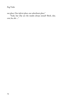our place. Our *inferior* place, our *subordinate* place."

"Yeah, but why are the insults always sexual? Bitch, slut, cow, ho, slit …"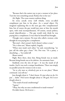"Because that's the easiest way to put a woman in her place. Turn her into something sexual. Reduce her to her sex."

Ah. Right. The cross-country uniform thing.

So every catcall, every wolf whistle, every so-called compliment put him in his place. As a sexual object. He imagined explaining this to the next guy who 'complimented' him, but of course the guy would just stare at him, his mouth open, with total incomprehension. Of sexism, sexual politics, sexual objectification … The guy would truly think he was paying him a compliment. It was what he himself had thought.

Though, wait a minute. No man who called a woman a slut thought he was paying her a compliment.

"But stud—that's sexual. And it doesn't reduce a man."

"No, it does not," Shane replied. Angrily.

"When men insult each other," he said, remembering, "we just call the other guy a loser." No. Not true. "Or a pussy, a douchebag …," he trailed off.

Shane waited.

Right. Been there, done that. Being female was an insult. Because being female was to be inferior. An automatic loser.

Suddenly even the *idea* of rape— It was the insult of all insults. And it was such a unique humiliation. There was simply no parallel action for women to do to men.

"As to *why* men so *relentlessly* put us in our place," Shane continued, "you tell me."

Jess thought about it. "I don't know. It's just what we do. It's just … habit." He'd never thought about it. Oh god. *He'd never thought about it.* 

"The result of social conditioning?"

"I guess."

"Okay, but why are men conditioned to insult women?" He didn't know. He'd never—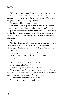"Well, here's my theory. They insult us to put us in our place. Our inferior place, our subordinate place. Men are supposed to be better, right? Better than women. That's what everyone, directly and indirectly, tells them."

Jess nodded. That, he remembered.

"But they know deep down that if status were awarded according to effort, ability, or value, they *wouldn't* be better. They're insecure about their value, and rightly so. So they hang on like hell to their assumed superiority, their superiority by virtue of their sex. That's why they have to prove their *man*hood all the time."

Yes. That.

"So, since they need to be better as men, as *males*, so we need to be worse, as women, as *females*. And instead of going around all day saying 'I'm better!' or 'I'm good!' they say 'You're worse!' or 'You're bad!'

Jess thought about that. They actually did both.

"Which," Shane concluded, "given, means going around all day saying 'You're female!'"

Ah.

"But isn't that circular? Subordinate, therefore our sex, and our sex, therefore subordinate?"

"Did I ever say men were the rational ones?"

That startled him. Because yeah, men *were* supposed to be the rational ones. But now … He was starting to see that they were just as irrational as women. Perhaps more so …

"Why don't women call us, them, on it?"

"They'd get angry. And hurt us. More."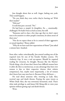Jess thought about that as well. Anger, lashing out, yeah. That *would* happen.

"Do you think they even *realize* they're hurting us? With their insults?"

"Did you?"

It took him just a second. "No."

He had been *so* stupid. *So thoughtless.* So … emotionallychallenged. He hadn't been as bad as some, but still.

"Someone said in class a few days ago that we don't *expect*  men to be sensitive to other people's emotions, let alone aware of their own."

"Nor do we expect them to be in control of their aggressive or sexual impulses," Shane added.

"Why do we have such low expectations of them?" Jess asked a minute later. Insulted.

Soon after, rather coincidentally, Jess started reading one of the required texts for one of his Gender Studies courses. *The Authority Gap.* It was a real eye-opener. Should be required reading for everyone, he thought. Because like the Martin/ Nicole thing, a lot of men don't know how difficult women have it (after all, this is a meritocracy, so any advantage they have over women is due to their respective choices, their relative competence), but, maybe more importantly, a lot of women don't know how easy men have it. Because if they did know …

He read about someone who, tweeting as Lady Alex, received rape and death threats. Posting the same tweets as White Dude Alex, she was retweeted, favourited, cited. That's what male privilege is, said James Fell. Being able to voice your opinion without getting rape and death threats.

Wow.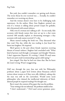But yeah. Jess couldn't remember *ever* getting such threats. The worst threat he ever received was … Actually, he couldn't remember *ever* receiving *any* threat.

And the woman doesn't even have to be challenging male supremacy. As the author, Mary Ann Sieghart, pointed out, even if a woman is talking about pretzel recipes for godsake, she's threatened with sexual violence.

Hell, even if a woman isn't talking at all— In one study, fake accounts with female names that were set up in a chat room received 100 sexually explicit or threatening messages a day; accounts with male names received 3.7 a day.

Shane started reading the book too. They discussed what they read. One day, while she was reading it, Jess heard her burst into laughter. He inquired.

She'd gotten to the part about female reporters receiving threats of sexual violence. Sieghart had concluded with "What kind of person read through a newspaper and thought 'Hmmm. I don't appreciate Reporter X's writing. I think I'll send some hard-core porn-mail recommending a good, solid raping.'"

Jess cringed. Not that he had ever done that. But he knew she wasn't wrong. Wasn't exaggerating.

Half way through the year, Jess met with his Philosophy professor about a paper he'd written about Rousseau (who'd written about women as if they were silly children), asking why the man was still on the curriculum. Would some racist philosopher who claimed the intellectual inferiority of blackskinned people be required reading? He thought not.

But it wasn't the content of his paper that was the problem.

"Your writing is far too informal," the professor smiled at her.

"I don't understand—" He'd used correct grammar, punc-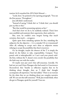Jess

tuation; he'd consulted the APA Style Manual …

"Look, here," he pointed to his opening paragraph. "You use the first person. Throughout."

Jess still didn't understand.

"Instead of saying 'I think this' or 'I think that', you should just *say* this or that."

"But that would be presenting opinion as fact."

And that's how we do it, he suddenly realized. That's how men establish and maintain their superiority, their authority.

But, now, he couldn't even *imagine* having that much certainty, that much … arrogance.

Quite apart from mistaking opinion for fact, mistaking the subjective for the objective— *Is* it a mistake? Or is it intentional? After all, refusing to accept one's ideas as subjective means refusing to accept the possibility that they're incorrect.

Or, he thought, maybe the absence of the 'I' is simply the denial of, the failure to take, responsibility. Compare 'Your postal code is indecipherable' to I can't read your postal code': the first, without the 'I', doesn't even *consider* the possibility that the fault may rest with the reader.

Or maybe men just aren't that self-conscious. Literally. He had not yet read Owen Flanagan who had noted, in *Consciousness Reconsidered,* that "Insofar as reflection requires that we be thinking about thought, then an 'I think that' thought accompanies all experience," but had added, "There is no warrant for the claim that we are thinking about our complex narrative self. We are not *that* self-conscious." Well, Jess would think, when she got to Flanagan, speak for yourself. Your sex.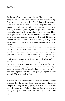## Peg Tittle

By the end of second year, his grades had fallen too much to reapply for the undergraduate scholarship. No surprise, really. Twenty hours of work a week (he'd ended up with ten hours a week in the library, shelving books and doing other odd—i.e., simple and unchallenging—jobs, and about ten hours a week marking remedial English assignments) *plus* a full course load had finally taken its toll. He started to worry about being able to go to graduate school. He'd been thinking about pursuing the topic of sexism, teenagers, and tv … If he quit his jobs, he wouldn't be able to afford it. But if he didn't quit his jobs, he most certainly wouldn't get a graduate scholarship to cover tuition.

What made it worse was that Kyle would be starting his first year in the fall, and he wouldn't have to work at all during the school year: his summer job with a construction company had paid enough to cover all of his expenses. In fact, Kyle had been offered every summer job he'd applied for. Every frickin' one. Six in all. It made Jess so angry. Kyle *always* seemed to have an 'in' … She checked the bulletin boards for notices, she read the campus papers, and the city newspapers, but she never— She never seemed to gain the advantage Kyle seemed to have. Obviously, it was the advantage of being male, but how did that— Ah. Word of mouth. Guys told each other about openings. Guys hired other guys. Could it be as simple as that?

When she went to Student Services, again, this time looking for a summer job, she saw that there were a few yard maintenance companies looking for strong, young men. She'd done that sort of work before, so— Wait, no, that was *before*. She wasn't a strong, young man now. Well hell, she'd apply anyway. She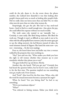could do the job, damn it. As she wrote down the phone

number, she realized how shameful it was that looking after people's lawns paid twice as much as looking after people's kids. Did we really value our lawns more than our kids? No, we value what men do more than we value what women do.

Surprisingly, she got the job. She had to buy steel-toed boots—hard to find in a small enough size—but, given the pay, she could afford the expense without too much trouble.

The work came—she wanted to say 'naturally,' but … Certainly, it came easily. She liked being outdoors. She liked the work-out. Though it wasn't as difficult as men made it out to be, what with the self-propelled lawn mowers (only the senior guys got to use the riding mowers), the leaf blowers instead of rakes, the weed trimmers instead of clippers. She hated the noise now—yes, *now*—interesting … So she wore earplugs.

Even so, she heard them hoot and holler any time a woman walked by the property they were working on.

"Hey!" Jess said one day. "What makes you think you have the right to tell women whether they measure up to your standards, whether they please you or not?"

The guys looked her up and down. Slowly.

Another day, she heard, "Did you get any?" Certainly Jess had heard the question before, but he *heard* it now, really *heard* it, for the first time. The question implied sex was something men *got*, maybe *took. From* women.

And "Fuck!" Also *heard* for the first time. When, why, did the word for sexual intercourse become a synonym for anger?

When he heard "Are you hitting that?" he had to say something.

"We're not inanimate objects."

"What?"

"You referred to hitting women. Either you think we're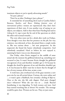inanimate objects or you're openly advocating assault."

"It's just a phrase."

"Don't be an idiot. Nothing is 'just a phrase'."

It reminded her of something she'd read in Cynthia Enloe's *Bananas, Beaches, and Bases: Making feminist sense of international politics:* women are experienced; they don't have experiences of their own. It was another way of saying we are objects, not subjects. Add to that what Kate Harding had said in *Asking for It:* rape is just the far end of the spectrum on which the other end is sexual remarks …

The crew often went out for a drink after work on Fridays. Even though it was clear that her presence on the job, her very existence, was tolerated, at best, she joined them a couple weeks in. She was curious about … her new perspective. As she suspected, she found the banter relentlessly competitive. And relentlessly sexualized. Hard to believe he ever enjoyed it, assuming he had, it was so one-dimensional.

One Friday, when Kevin stopped in the middle of some sexual tale the moment his girlfriend showed up, something new occurred to Jess. It wasn't because Kevin thought his girlfriend was ignorant of sex and therefore wouldn't get it. Or because he thought she *should* be ignorant of sex and therefore shouldn't get it. It was because he didn't want her to know that he thought of her, of every woman, all the time, as just a cunt.

A week later, Jess overheard one of the guys mention a new porn site he was all excited about. Curious, she went online and … it wasn't quite a flashback, but certainly a feeling of déjà-vu. Once at the site, she felt only disgust. Had porn changed since—whenever? What she saw was so … crude. Beyond humiliating, it was degrading. To both women *and* men. And boys started watching this at eleven? No wonder. The message would be quite clear. Women are for sex. They *are* just cunts.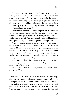He wondered why porn was still legal. Wasn't it hate

speech, pure and simple? If a whole industry created and disseminated images of men being hurt, sexually, by women, women who apparently enjoyed hurting men, you can bet it'd be shut down in a minute. No questions, no debates, no exceptions.

Men say they *need* it. But *why* do they need images that humiliate and degrade women?

He tried to remember. Yes, he'd used porn. But had he *needed* it? It was certainly easier, quicker, to jack off with visual stimulation. So maybe if he'd had a better imagination … Even so, did he need to jack off? And had he needed images of humiliation and degradation to jack off? He thought not. He hoped not.

The job was enlightening in other ways as well. Jess realized, or remembered, that men's kneejerk response was to make excuses. He saw it, noticed it now, again and again. In every conversation, whenever one of the guys was called out about something, he didn't even *consider* taking responsibility or apologizing. The reflex—and it really had become a reflex—was to deny and make an excuse. Only losers admit failure.

She also noticed that the guys got away with so much. She'd be working hard, and they'd be goofing around. No consequences. No surprise.

(And if they *did* get called on it, they'd get a second chance. She wouldn't've.)

Third year, she continued to enjoy her courses. In Psychology, she learned about Kolhberg's famous stages of moral development: ethical decisions made according to principles were indicative of the highest level of development. Jess, and most of the women she knew, achieved that in adolescence. They considered what was right, what was fair. So Jess, and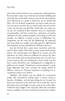## Peg Tittle

most of the women he knew, were, among men, ethical geniuses. But that didn't make sense. Until she learned that Kohlberg had used only boys in his study. And yes, most of the men she knew used self-interest as a guide to behaviour. As he himself had done. Life was all about competition, you had to make sure you were one-up on everyone else, you had to make sure you weren't a loser. So of course you did what would *make* you, make *you*, one-up. He wondered if their obsessive focus on competition, one-upmanship, win/lose, saving face, reputation, perception explained *why* they seemed incapable of focusing on truth and morality. In addition to being so used to bullshitting. No, competition was the *reason for* the bullshitting. He suspected that most adult men couldn't even *define* good or right beyond their simplistic ten-year-old definition. Whatever that was.

Jess also learned that a great many researchers used only males in their studies. That's why so many women died of heart disease. The warning signs were different for women; even the experience of a heart attack was different for women. So, since most early studies had used predominantly men, not only were women unaware they were heading for a heart attack, even the heart attacks themselves were misdiagnosed, as indigestion or gallstones, for example. Furthermore, women respond to many drugs differently than men; certainly the dosage should be different. And so on. Women's experience of anything was, is, considered a subset, not a half-set.

Similarly, male bodies were the default for construction design. She remembered reading about a woman trying to become a firefighter, and she kept failing the test because the hoses were mounted on the wall with men in mind who, even if they'd been the same height as women and not six inches taller, would have had a higher center of gravity. She'd also read about women's inability to become truck drivers because they couldn't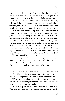reach the pedals. Jess wondered whether her occasional awkwardness and sometimes outright difficulty using the lawn maintenance tools had been due to subtle differences in sizing.

When he started reading radical feminists—Beauvoir, Friedan, Steinem, Firestone, Dworkin, Morgan, and others, who recognized gender as the tool of subordination by sex and so advocated rejecting gender altogether—he realized his life had been, at least temporarily, hijacked by the trans narrative: if women had as much authority and freedom, as much personhood and humanity, as men, he wouldn't've even have considered the possibility that he was, or should become, trans. He would have accepted his non-gendered feelings and preferences as simply non-gendered feelings and preferences, not as an indication that he'd been 'misgendered' or whatever.

In his Women's History course, he read about the smile boycott. He understood it. Women were told to smile. All the time. Almost every day, his mom had said to him, 'Smile, dear!' She'd made it sound like a reprimand.

But smiling meant you weren't being serious. So you wouldn't be taken seriously. It was a way to subordinate women. He got that. But he liked being able to smile more easily. He liked not having to look stern, even angry, all the time.

"Come look at this," Jess called out to Shane one evening. She'd found a video showing two women in an iron man—yeah competition. Helping each other make it across the finish line.

"It's such a metaphor, isn't it? Men disgrace the fallen, insulting and humiliating their buddies who can't keep up, who pass out, for example, when drunk."

"Women help the fallen," Shane finished the comparison. "We make sure our passed-out sisters get home safely, that is,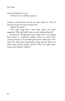without being hurt by men."

"It's like we're two different species."

Another evening, Shane was the one who called out. "One of these days someone needs to unpack *this.*"

"What?" Jess asked.

"The 'adult image filter'. And 'adult videos' and 'adult magazines'. When did 'adult' come to mean 'male psychopath'?"

Jess grinned. Though, given porn today, there was nothing funny about it. Absolutely nothing. What was adult about coercing someone to do something she doesn't really want to do? What was adult about humiliating another person? What was adult about hurting another person? What was adult about doing sexual things to children?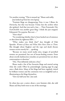Yet another evening, "This is messed up," Shane said softly.

Jess looked up from her own laptop.

"Feminist blogs are disappearing. First, it was *I Blame the Patriarchy*, but that was because Twisty lost the archive when she updated. And that was such a loss … Then Femonade. Her *FactCheckMe* was another great blog. I think she just stopped. Exhausted. No surprise. But now …"

"Now what?"

"I'm wondering whether they're been hacked out of existence or shut down by righteous ISPs … "

"What makes you think that?" Jess thought of Dale Spender. *Women of Ideas and What Men Have Done to Them.*  She thought about Sieghart and the rape and death threats women receive merely for … speaking.

"Because on many social media sites, images of pornified women are permitted, but not of breast-feeding women. Posts about erectile dysfunction remedies are permitted, but not about contraception or abortion."

"Hm. That definitely indicates a bias."

Shane made a list of her favourite blogs and started saving what she could. Often by painstakingly copying page by page onto a flash drive. Many of the blogs had been regularly visited by brilliant women and the comments were as insightful and as illuminating as the blogs themselves.

"Give me half your list," Jess said.

So when Jess saw a notice about a new feminist club, she told Shane and they both went to one of the meetings.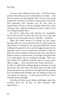As soon as they walked into the room— All of the women present looked like pop stars or cheerleaders or models … And the men present were grinning like idiots. Curious, they stayed and listened. Feminism was all about empowerment, they heard. And apparently one's sexuality was the best route to empowerment. Women could do anything if they had a man's attention. They could get anything. Jess snuck a glance at the men. Still grinning like idiots.

Jess had to admit that male attention was prerequisite. Given. She also had to admit that the only way to get male attention was to be sexually attractive. Still. But— feminism?

Shane left within minutes of arriving, but Jess stayed, listening while the women discussed with no small excitement what they'd be wearing for the upcoming SlutWalk, several nodding with approval to the occasional suggestion given by the supportive men. It was an annual event intended to make the point that women could wear whatever they want; attire did not indicate consent to sexual activity. In principle, Jess agreed. But we *do* send signals with our clothing, he thought. There were both official and unofficial uniforms: doctors, nurses, police officers, judges … those associated with various subcultures … So *didn't* so-called slutty clothing signify an openness to sexual interaction? The short skirts, the sheath skirts, the skirts with slits up the side or one up the back, the high heels, the push-up bras, the falling-off-the-shoulder tops, the blazing red lips, the come-hither eye make-up … It all screamed 'Fuck me!' That's certainly what he'd thought.

And what did these women think would happen when they screamed 'Fuck me!' all day? To their treatment, their opportunities …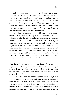And there was something else— Ah. It was being a tease. Men were so affected by the visual—didn't the women know that? It was cruel to walk around with your tits and ass hanging out and *not* be sexually available. And yet the men seemed to support it. It was … titillating. Yes, he remembered the background thrill of being constantly aroused … It made you feel good, it made you feel strong— Which meant it wasn't about *female* empowerment at all. She too left.

He ducked into the washroom on his way out, and saw, as always, several women leaning in to the mirrors— All the primping, the fussing with one's hair, with one's face, with one's clothes … Hair's bad except on your head. Fat's bad except in your boobs and your ass. Wrinkles are bad all over. It's an impossible standard to meet without a lot of artificiality, and procedures that were time-consuming, painful, expensive, and downright dangerous. Why didn't women see this? Were they so desperate to get and keep the attention of men? Did they not know that most men would fuck anything that moves? And even if not, what have they done for us lately?

"You know," Jess said when she got home, "most men are psychopathic dicks, partly because that's the way they're socialized and they haven't thought much about it. But most women haven't thought much about the way they've been socialized either."

"True," Shane had no trouble agreeing. Even though Jess was the one taking gender studies, Shane seemed to be the one with the analyses. Jess assumed it was because of her lesbian friends, and she was right. Theory was one thing; application, another. Reading was one thing; recognition, another. But she'd assumed that lesbians in general were more politically astute, at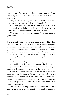least in terms of sexism, and in that, she was wrong. As Shane had once pointed out, sexual orientation was no indication of … awareness.

"But," Shane continued, "men are socialized to hurt each other and women are socialized to hurt themselves."

Ah. Once again, she'd nailed it. Women are socialized to hurt themselves, psychologically, physically— In so many ways, women are socialized to sacrifice themselves, for others.

"And that's why," Shane concluded, "men are more … problematic."

One weekend, while both Jess and Shane were working, there was some construction noise from the apartment building next to them. It was horrendously loud. Beyond table saw and nail gun loud. Compressor? Portable saw mill? They tried to shut it out, but after a couple hours, they were both frazzled to the bone. Suddenly the noise increased in intensity. When they looked out, they saw that the windows facing them had been opened.

So they went over together to ask how long the noise would last and could they at least close the windows for the duration. They'd decided that they would just give up and go biking or something, depending on the answers to their questions.

When they walked into the open apartment in which the work was being done, one of the men—they were all men, Jess noticed—and wouldn't've noticed before—stopped and turned to them. Shane nodded to the nearby machine, and he switched it off. The quiet was … The way their bodies immediately relaxed was palpable.

"Hi," she said, amiably, "we're in the apartment just next door, trying to work, and the noise is—well, loud. Is it going to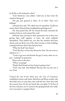be all day or all weekend or what?"

"And whichever," Jess added, "could you at least close the windows facing us?"

The guy just grinned at them. As if, what? They were kidding?

Annoyed, Jess said, "We asked you two questions. Could you answer them? Instead of just standing there grinning at us?"

Oh, that pissed him off. He turned his back, switched the machine back on, and resumed his work.

Defeated, they returned to their apartment, but as they were getting their stuff together, to leave, the noise suddenly diminished. They looked out, saw that the windows had been closed, and saw Brad, one of the other tenants in their building, coming back from where they had just been.

"What the fuck!" Jess fumed.

"Yeah. But hey, at least they listened to him. Do you want to still leave or—"

"I want to go over and throttle the guy! I mean, what are we, just—nothing?" he sputtered.

Shane went to the door.

"Where are going?"

"Maybe Brad found out how long it's going to last."

"Yeah," Jess said. And deflated. Because this was the way it was. Now.

Toward the end of her third year, the City of Vancouver established women-only buses. Both Jess and Shane mostly rode their bikes, but on rainy days, they took the bus. Now they took the women's bus. On the one hand, they were glad. To be free of the leers and jeers, not to mention the groping hands, but really, was it necessary to *segregate* them?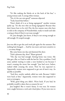"It's like making the blacks sit at the back of the bus," a young woman said. A young white woman.

"No, it's for our own good!" someone objected.

"Yeah, heard that before."

"Don't think of it as *us* being segregated," another woman spoke up. "It's the *men* who are being segregated. Because they don't know how to be civil. Pity the few mature men who have to ride in the company of Neanderthals, ready to insult and take a swing at them if they're not man enough."

Or, Jess thought, Jess knew, if they're not strong enough or tall enough. Or stupid enough.

Jess was able to get the yard work job again for the summer. But nothing had changed … And he was more and more sensitive to … so many things.

She came home one day and slammed the door.

"Had a pleasant day, dear?" Shane grinned.

"The day was bad enough. Getting home was worse. My bike got a flat, so I had to walk the last bit. Not a problem. Until some asshole waiting to make a turn honked at me because I wasn't crossing the street fast enough." Jess had *never,* before, rushed while crossing the street. Now he was expected to. Apparently, women were supposed to get out of men's way. As quickly as possible.

"And *then, another* asshole called me rude. Because I didn't wave back at him." Apparently, women were also supposed to wave at strangers.

"Well, good thing you didn't. Wave back. If you had, he probably would've taken that as consent for sex."

Jess laughed. But it wasn't funny. It was true. So women were caught between a rock and a hard place. If you were nice to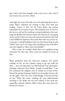guys, that's what they thought. And so you were a slut. And if you weren't nice, you were a bitch.

And, sigh, she wasn't the only one to be slamming doors. So to speak. Shane exploded one evening as they were both just reading. "Listen to this. It's by Laura Bates, the woman responsible for *Everyday Sexism*. 'My boyfriend was an actor at the time as well and he would get casting breakdowns that were long and detailed and told you about the character he was going up for and how they were shy and introverted and how they had a bad childhood experience that made them this way and so on. I once got a casting breakdown that was four letters long. It said '32DD', that was it. Or I'd get these breakdowns that said 'She's sexy, but virginal' or 'She's naive, but fuckable'."

Was a time, he wouldn't think there was anything wrong with that. No. Not true. Was a time, he wouldn't be aware of that.

Shane graduated from her three-year program and started working on her art, her website, trying to get her stuff out there … Jess was impressed. "Let Me Entertain You" presented a shocking continuum from Shirley Temple to snuff films. "I am Eve" presented the religious view of women, or at least of Eve, blamed for getting humanity kicked out of paradise because she ate the apple—from the Tree of Knowledge, of Good and Evil, no less. When she wasn't working, she was, unfortunately, watching tv. No doubt, the two were related, as her work was, essentially, cultural criticism. Still, it drew Jess away from her fourth-year courses …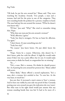"Oh look, he put his arm around her," Shane said. They were watching the Academy Awards. Two people, a man and a woman, had tied for the prize in one of the categories. They were standing beside the podium for a picture, trophies in hand. The man had put his arm around the woman. "I'll bet he doesn't even know why."

"I'll bite," Jess said. "Why?" She tried to remember doing that. Nope.

"Why does any man put his arm around a woman?"

"Well, affection, I guess."

"Yeah, but they're strangers. He has no basis for affection. Try again."

"I don't know. It's just something men do."

"Yeah, but *why*?"

"No reason." Jess knew better. He just didn't know the reason.

"Nope. Gotta be a reason. Otherwise, why doesn't he, I don't know, poke her with his elbow? A high-five would make sense if their win was a joint effort, but it's not. It would make most sense to shake her hand, to congratulate her on winning."

"So … "

"He's a man. She's a woman. He thinks he should protect her. As if putting his arm around her protects her," Shane added with scorn.

"More likely," Shane offered a second explanation, "he's a man, she's a woman, he's entitled to her. To own her. At the very least, to touch her."

Jess saw that. It increased a man's status to 'have' a woman. And to have one visibly by your side was proof of that. Certainly putting your arm around one gave the indication she was 'yours'. But what man in his right mind would just assume that any woman standing beside him was his? It had to be more of a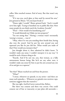reflex. Men touched women. End of story. But that wasn't any better.

"If it was you, you'd glare at him until he moved his arm," Jess grinned at Shane. "Or you'd just break it."

"Damn right I would," Shane grinned back. "And it would serve him right. Trying to humiliate me in public like that. How many people do you think watch the Academy Awards?"

"Wait— How would it be humiliating you?"

"It would diminish me! Make me into property!"

"I'm not seeing that." 'Having' a woman wasn't necessarily 'owning' a woman … was it?

"Okay, what if it was you standing there beside him, having also won the award. And he put his arm around you and squeezed you like he just did her. What would you make of that? How would you interpret that?"

Jess thought about it, then admitted he didn't know. "It wouldn't make any sense. I couldn't interpret it in any way." It would be such a bizarre thing to do.

"Exactly. And if he saw me, you, that woman, as a fully autonomous human being, like he'd see any other *man*, it wouldn't make any sense for him to put his arm around any one of us and give us a squeeze."

"See that?" Shane reached out and froze the picture.

"What?"

"I swear, whenever an episode, in *any* series—and there are many such episodes— Whenever an episode even *mentions* rape, someone suggests that she wanted it."

She was right. And he'd never noticed that. Before.

But there was consent and there was *consent.* One could consent out of fear or insecurity or just plain old surrender—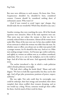But men were oblivious to such nuance. He knew that. Now. Acquiescence shouldn't be, shouldn't've been, considered consent. Consent should be considered nothing short of enthusiastic assent. Why wasn't it?

(And if men wanted to avoid 'regret rape' charges, they should make the sex wonderful. Which they should in any case.)

Another evening, they were watching the news. All of the female reporters were attractive. Most of the male reporters were not. That norm may not reduce the women to their sex, but it certainly reduced them to decoration. Almost all the women were under fifty. Many of the men were not. In fact, Jess couldn't think of one newscast in which the woman was older than the man. So, whether cause or effect, you always saw an older man paired with a younger woman. As if it should be that way. And so it is. Older men seeking younger women. *And* because age confers authority, and rightly so, women are seldom seen as, so seldom considered, authorities. Not on tv, not in the workplace, not in the world at large. And all of this was old news. And apparently chiselled in stone.

The anchor introduced a clip, in which a male politician called a female politician overweight.

"Oh look who's calling the kettle black," Shane said with disgust. "We have to look like supermodels, but they can be shit ugly. And *still* get jobs, promotions, positions of power, respect, authority."

She was right. Not only could they be overweight, men could be unkempt, their hair stringy and unwashed, their shirts rumpled, their shoes scuffed, their trousers drooping, and no one would say a thing. Worse, someone would get their coffee for them. And do much of their work for them.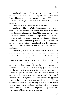Another clip came on. It seemed that the more men abused women, the more they talked about rights for women. It was like his neighbours back home: the ones who drove an RV were the ones who voted green. It wasn't a contradiction, but a compensation.

Another clip. Men talking about men, essentially.

Another clip. The same. What if, she wondered, for just one year, the media reported 90% of the time what *women* were doing instead of what men are doing? Not because what women do is better, or more newsworthy, though probably it was both, but just to see how it would change our outlook, our world view. The news might be more boring. But then, hey, what does that say? About us? It probably would have less to do with money. Again … It would likely involve a lot less death and destruction. And again.

Another clip. And it dawned on him how stupid it was that most diplomats were men. *Women* were the ones with the superior communication skills. They're the writers, the *translators,* for god's sake. And of course communication doesn't involve just words. And women were better than men at reading facial expressions, body language. And who has the most experience settling disputes? *Mom*. *She's* the mediator, the negotiator extraordinaire. Even historically, Jess now knew this was the case: marriage was used to form alliances between tribes, between villages; the girl who became the other chief's wife was expected to be a go-between. A lot of women's talk is social cohesion work. *Unrecognized* social cohesion work, he appended with a sigh. They go deeper; men actually *avoid* any kind of psychological understanding, not only of themselves, but also of others; women actively embrace such knowledge. And *women* were the ones with the ability to compromise. They *prefer* a winwin outcome. Men love a win-lose outcome.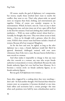Of course, maybe the goal of diplomacy *isn't* compromise, but victory; maybe those involved don't want to resolve the conflict, they want to *win.* That's why, planet-wide, we spend more on weapons than food, clothing, and entertainment put together. Unless of course you consider weapons to be entertainment. Which, he knew, men do. Turn on any tv show during prime time, and nine times out of ten a gun will be fired in the first five minutes. Food and clothing that could be used in mediation … Well, no, most conflicts weren't about food or— Actually, he thought, they were. They were about access to land, water … Even so, he thought with a grimace, when *the aliens* come, NASA's first contact team had better include a bunch of women. Because all of our weapons? Slingshots.

As for the here and now, he sighed, as long as the *other* diplomat was a man, a female diplomat would fail. She'd be ignored, dismissed, challenged, resisted, with even more vehemence than if she were a man. Because heaven forbid that a man *concede* to a woman.

And what makes it impossible to change is that any man who *does* concede to a woman, any man who *accepts* female authority is emasculated, or worse, infantilized. Because the only female authority figure he's ever had has been Mommy. So it becomes a vicious circle: no female authority figures, so no female authority figures.

But my god, if *all* diplomats were women …

Soon after, triggered by a cooking show they were watching don't ask—he had another thought. He'd learned that whenever women enter an occupation, it becomes devalued: at one time, bank tellers and secretaries had a certain prestige—the time when such positions were held by men; schoolteachers used to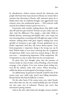be school*masters*—before women entered the classroom; and people who boast that many doctors in Russia are women fail to mention that doctoring in Russia, well, someone's gotta do it. Maybe that's why, he suddenly thought, men aggressively resist women's entry into professional sports … He'd noticed, really noticed, how seldom women's sports were on tv …

Conversely, well, consider cooking shows: they didn't really take off until *men* got involved. Women are just cooks; men are *chefs*. And the difference! Not simply a calm Julia Child or Martha Stewart, interesting and helpful with a new recipe, but men strutting about, screaming with self-righteous anger at their minions, rushing about with great urgency making sure every sprinkle of cinnamon is just right, because goddammit it's so frickin' important! And they call *women* drama queens. True, food preparation *is* important: doing it the wrong way can be fatal. Which makes it even more irritating that the recognition of importance didn't occur until *men* started doing it. But the men were … *manufacturing* importance. With competition. Ah. Competition is a way to make what men do *seem* important.

So given that, Jess thought, given that the presence of women results in a loss of value, a loss of funding, a loss of media coverage, a loss of glory, if we were serious about ending war, we'd *fill* the military ranks with *women*. When becoming a soldier has about as much appeal as becoming a waitress …

An added bonus, he grinned to himself, would be that if the enemy army were (still) male, they'd start killing themselves. Because better that than be killed *by a woman*.

On the other hand, if the enemy army were (also) female, more often than not, the war would probably just sort of fizzle out into some sort of stalemate. Women just aren't that interested in pissing contests.

And on the *other* other hand, she thought, women *shouldn't*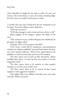enlist. Shouldn't've fought for the *right* to enlist. It's men, not women, who are the threat, so men, not women, should go fight. If not for men, we wouldn't need *anyone* to enlist.

"I wonder why men aren't insulted by the low standards we set for them," Jess said to Shane a short while later.

"What do you mean?"

"Well, they manage to cook a meal, and wow, they're a *chef!*"

Shane laughed. "If he changes a diaper, he's father of the year."

"If he continues to pay a child's ball game into adulthood, he gets paid a six-figure salary."

"If he gets a B.A., he's an expert in his field."

"If he writes a book full of incoherence and grammatical mistakes, he still gets published." Jess had heard about this from one of his female professors. Who'd been approached by the publisher to edit the manuscript and correct the mistakes.

"We don't expect men to pick up after themselves," Shane modified their litany, "to clean up their own messes, to fix the things they break."

"We don't expect them to be sensitive to other people's emotions, or even be aware of their own."

"We don't expect them to be in control of their sexual impulses or their aggressive impulses."

They sighed. Men were children. And they, men, were okay with that. Which was proof.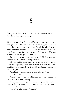## 5

Tess graduated with a decent GPA; he could've done better, but  ${\bf J}$ ess graduated with a decent GPA<br>he did well enough. He thought.

He was surprised to find himself agonizing over the job ads, trying to decide if he was qualified enough to apply. He hadn't done that before. He'd just applied for all the jobs that had appealed to him. Had he lied about his qualifications then? No, he didn't think so. But then … ? Ah. He'd just assumed he was qualified. Wow. *Really?* The arrogance.

In the end, he made so many calls. He filled in so many applications. He sent off so many resumes.

He was flabbergasted every time he didn't even get an interview. Especially when the position was well below his qualifications and experience. Often his application wasn't even acknowledged.

"The bar is so much higher," he said to Shane. "Now."

Shane nodded.

"It's like I have to have a fucking doctorate before I can even become an assistant something."

"No," Shane said, "if you had a doctorate, you still wouldn't be hired for an assistant position because then they'd say you're overqualified."

"But all the jobs I'm qualified for—"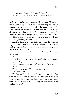"Are occupied. By men. Underqualified men." Jess stared at her. She'd said it so … matter-of-factly.

And when he *did* get an interview, it felt … wrong. He was too forward, too pushy … In fact, one interviewer suggested, rather harshly, that maybe she should work at the company for a while before presenting suggestions for improvement. The man was absolutely right. But it felt … You research your potential employer, show them that you've done that, and present a few new ideas, to show your initiative, your keen interest— It was standard operating procedure. For men.

Another interviewer was indignant when he tried to negotiate the offered salary. (She remembered too late, from reading Sieghart, that women who negotiate their starting salary are twice as likely not to get hired.)

Near the end of another interview, he was asked if he wanted kids.

"What?"

"The last three women we hired—" The man stopped, seeing his colleague shake his head.

"Would you ask that question if I were a man?" Jess asked.

"Well, no, because—"

"If I were a *good* man, I'd want paternity leave."

They were silent.

"Furthermore," she knew she'd blown the interview, "for your information, men and women leave their jobs at the same rate. In fact, male managers leave *more often* than female managers." (It was another of the things she remembered from reading Sieghart.)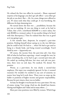He refused the first two offers he received— Shane expressed surprise at his language: you don't get 'job offers'—you either get the job or you don't. But— Ah. As a man, things were offered to you. W omen took what they could get. It was horrifying, the difference he kept slamming into.

He turned down the first two … possibilities, because the pay was so insulting. (It was one thing to read, as he had in Valian, that a B.A. contributed \$28,000 to a man's salary, but only \$9,000 to a woman's salary. It was another thing to be faced with that discrepancy.) Then he realized that that was as good as it was going to get.

A few months later, desperate, he accepted a part-time position. Kicking himself about saying no to the two full-time jobs he could've had. He had to … what? He had to get used to being in a female body, and being treated accordingly. You'd think by now— Apparently not.

Of course, the income from the part-time job—less than 50% of what he had been expecting—wasn't enough for rent, let alone everything else, so he had to get a second part-time job. He ended up working full-time, but since each job was parttime, there were no sick days. No medical. No dental. No pension.

Worse, as a part-timer, he was clearly a second-class employee. His input was completely ignored. In fact, it seemed resented. He wouldn't be entitled to any sort of seniority no matter how long he'd work there. There were no steps up the ladder to positions of higher income and greater responsibility. Because for part-timers, there was no ladder.

At least, he thought it was because he was a part-timer. He was, of course, wrong. Very wrong. (And yes, she should have known. Having read Sieghart and Valian and so many others …)

Most part-time positions were filled by women. Which begs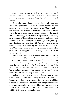the question: was part-time work devalued because women did it or were women shunted off into part-time positions because such positions were devalued? Probably both. Around and around …

One day he happened upon a website for a small company of composers specializing in music for dance troupes: all four composers were male. (He noticed that. Now.) And he remembered a male friend of Shane being surprised at all the pieces she was creating: he'd confessed confusion at the idea of creating something just because he was passionate about doing so; everything he'd created had been a course requirement, and now he was actively looking for indie film gigs, video game gigs, and what have you—gigs that paid. And a new answer to the question, Why aren't there any great women Xs, occurred to Jess. Until then, the answer to that age-old question seemed to go to merit and/or opportunity. He thought, now, that it went to employment.

Because how many men make important discoveries on their own time at home? (Apart from Ben Franklin with his kite.) All those great men, who we know to be great because of the prizes they win, the fame they garner—they get those prizes and that fame for just *doing their job, for doing whatever it is they do 'at work'*. That's where they have access to resources, an office, a lab, a studio, assistants … And simply put, women don't get those jobs. At least, not nearly as often as men do.

And even if a woman *were* to do something great on her own time at home, no one would recognize it as such. Not only because it was done by a woman, but because it wasn't paid for. Consider the distinction between amateur and professional: the difference isn't quality, it's money. That is to say, pay doesn't follow value; it precedes it. And men, more than women, get paid for their work. Around and around.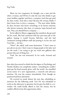## Peg Tittle

Show me two composers, he thought, one a man and the other a woman, and I'll bet it's only the man who thinks to get some buddies together and form a company (and then get paid for their work). And why is that? Because the woman thinks 'I don't know how to *form* a company …' The man either thinks he does, because men know everything, or he knows someone who knows someone who does, or someone steps forward and says, 'Hey, you should form a company … '.

So he talked to Shane, suggesting that somehow she get paid for her work. She had continued with her part-time job at the gallery, hoping it would become full-time, and she had continued creating brilliant stuff and posting it on her site and YouTube … for free.

"How?" she asked, with some frustration. "I don't want to put ads on my site. I don't want to charge people to hit 'play' and see the work. I *am* trying to get my work into galleries that present this sort of thing, but …"

Yeah. No one was interested. In *her* work. Around and around.

Just when Jess started to think that his degree in Psychology and Gender Studies was completely useless—something he couldn't quite get his head around, given, well, the world—he stumbled across notice of a new organization, a research and advocacy institute. He sent his resume immediately. Even though no positions had been advertised.

He received an email, almost the next day, scheduling an interview for the following week. Yes! He was scheduled to work on the afternoon in question, but he gave his shift to a coworker. He could hardly afford to lose the money, but he couldn't afford to lose this opportunity either.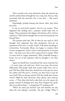There seemed to be some hesitation when she showed up, and she realized they'd thought he was a man. Jess. Even so, they proceeded with the interview, but it was clear … She wasn't optimistic.

Surprisingly, perhaps fearing who knows what, they hired him. Her.

It was an entry-level position., but he was ecstatic. Then disgusted that landing such a position would make him so happy. Then surprised at his disgust. He had just a B.A. And no experience. Why had he thought that an entry-level position was beneath him?

The position paid only 70% of what he was used to. He'd thought, he'd supposed, that after graduation, he'd get an apartment of his own. A condo, maybe. Talk about dreaming in technicolour. Fortunately, Shane was happy to continue their current arrangement. And it wasn't a bad apartment. It was just that— He knew now why so few women lived in condos. Why so many lived in crappy apartments. Why eventually buying a house was out of the question. Had he thought it was their choice?

Again, he should have remembered his course material, but … It wasn't quite real until now. And it was crazy, the income differential. Did people think that women didn't have rent to pay? Did they think when they checked out at the grocery store, the cashier said 'Oh you're a woman, you don't have to pay for your food!' Ditto at the gas station? Did they think that women weren't billed for their electricity, their phone, their internet access …? That when they had to take their car in for repair, the garage, instead of charging more than they charged men (yeah, that was another thing …), charged less? Or nothing at all?

"When my sister got married," Jess said absently one day when she was making a smoothie, "she got a fridge. When I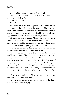moved out, all I got was this hand-me-down blender."

"Yeah, but there wasn't a man attached to the blender. You got the better deal. By far."

Jess laughed. "Still."

"Yeah."

And although 'entry-level' suggested that he could, would, be moving up the various levels, he never did. She was never offered door-opening opportunities. He started asking for them, providing reasons as to why he should be granted such opportunities, but that seemed to make things worse.

He was never offered a raise. After a year of doing what he thought was an excellent job, he asked for one. She was told that she was already making the maximum for the position. Okay, how could he get into a higher-paying position? She couldn't.

One day she discovered that Jason, who'd been hired at the same time she'd been hired, had been moved up.

Another day, she was startled to see in the hall someone who'd been in one of her fourth-year classes. He was, she'd thought, a bit of a dick. But she discovered that he'd been hired as an assistant to her supervisor. What the hell? In fact, most of the young men in her class, none of whom had better grades than her, had found better jobs. Of course, 'found' wasn't quite the right word … Women have to knock (and knock and knock) on the front door. Men are ('Psst! Over

here!') let in the back door. Men give each other informal advantages all the time. Bros over hos.

When a recent hire was asked to check her work, she almost quit. The recent hire was a guy.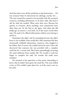And then there were all the small day-to-day frustrations … He was annoyed when he discovered not sabotage, exactly, but … The men around her seemed to be provided with the necessary resources, including information, to do their tasks. She had to ask for what she needed. Often more than once. Because her queries, to everyone, about anything, went unanswered more often than not. So she had to ask again. And when she did finally get an answer, it was brief. As if she wasn't worth their time. He used to be offered information without even having to ask for it.

Sometimes she didn't ask for something because she didn't know it was available. How would she? (She sometimes felt they *intentionally* withheld information, resources, then laughed at her failure. But of course, she couldn't know for sure.) Once she discovered that someone else was provided with a complete email list for a certain task. She'd been painstakingly extracting the email addresses from another file. No wonder it took her longer to complete the task! No wonder she made more mistakes!

He stormed to his supervisor at that point, demanding to know why he hadn't been given the email list. The man looked at her as if he couldn't quite place her, as if she wasn't even on his radar.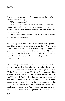"No one helps me anymore," he muttered to Shane after a particularly difficult day.

"What do you mean?"

"Before, I don't know, it just seems that … Guys would compete with each other, but we also gave perks to each other. Advice. Tips. We were on the same team. Unless we weren't. It's hard to explain."

"No, I get it," Shane replied. "Now you're in the bleachers. And expected to stay there."

Paradoxically, he became so tired of men always offering to help him. Most of the time, he didn't need any help. So it was an insult. And they knew it. They were just saying 'I'm competent; you're not.' If they really wanted to help, they would've taken him seriously in the first place and provided the information he'd asked for, the resources he'd needed. So, actually, it wasn't really a paradox …

One evening, they watched a TED show, in which a 'transwoman' was describing what happened when she went to a bike shop. The young guy had said 'Can I help you?' She said, 'Yeah. Can the frame of an older Gary Fisher mountain bike start to flex and bend enough that it causes the rear brake to rub?' He replied, 'Well, disk brakes need regular adjustments.' She said, 'I know that, and in fact I do regular brake adjustments.' He said, 'Oh, well, then your rotor's bent.' She said, 'Yeah, my rotor is not bent. I know a bent rotor.' With condescension, he then said, 'Well, what do you want me to do?' She said, 'You could answer my question.' And then she said to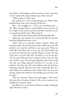the audience, 'This happens all the time now. I have to go three or four rounds with someone before I get a direct answer!'

"Tell me about it," Shane said.

Jess looked over at her, startled. Because yes. What 'Paula' had described. That was it. Exactly. His life now.

But— Jess struggled to— There was something more … Ah. "She's not angry about it." James Baldwin came to mind: 'To be a Negro in this country and to be relatively conscious is to be in a rage almost all the time.' "She's amused."

"Yeah, well, she hasn't had to deal with that shit all her life."

Again, Jess was startled. For a second, his life, his new life, his future, flashed before him. And—

'Paula' went on to describe another incident. When she boarded a plane, she found someone else's stuff on her seat. She picked it up to put her stuff down, and a guy said, 'That's my stuff.' She said, 'Okay, but it's in my seat. So, I'll just hold it for you until you find your seat, and then I'll give it to you.' He said, 'Lady, that *is* my seat!' She said, 'Actually, it's not. It's my seat. 1D.' He said, 'What do I have to tell you? That is my seat!' She said, 'Yeah, it's not.' Then the guy behind her said, 'Lady, would you take your effing argument elsewhere so I can get in the airplane?' And then she said to the audience that she had been absolutely stunned. She had never been treated like that as a male. Before, she would have said, 'I believe that's my seat,' and the guy would have looked at his boarding pass and said, 'Oh, I'm sorry.'

"She was 'stunned'," Shane said with disgust. "That's how little men know of sexism, of what it's like to be a woman in our fucking men-are-gods society."

Jess didn't say a word. Because Shane was right. Absolutely right. Men have no idea.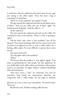A week later, when he walked into the lunch room, he saw a guy just staring at the coffee maker. "Does this need a bag or something?" he asked Jess.

"Filters are in the cupboard," Jess replied. Tersely.

The guy opened the cupboard and took out the plastic sleeve of filters. "And you put coffee into one of these, right?" He looked around, helplessly. "And the coffee is …?"

"In the cupboard."

The man opened the cupboard and took out the coffee. He continued to stare at the machine. "There's a trick to opening it, right?"

"Oh for fuck's sake, what is your problem?" Jess all but shouted. "You've been drinking coffee for how many years? And you haven't yet figured out how to work a coffee maker? It's a fucking coffee maker. No more difficult to operate than a lawn mower."

The man stared at her.

"So I ask again: what is the problem?"

"What?"

"I'll tell you what the problem is," Jess sighed, angrily. "You insist on genderizing not only people, but also appliances. In your feeble little mind, coffee makers are feminine, whereas lawn mowers are masculine. Go figure. Indoor/ outdoor? Small/big? Who the fuck knows.

"And since you're a *male*," he continued, "you *must* be masculine. God forbid you demonstrate, therefore, any competence with a coffee maker. So you feign or maintain

ignorance as a way to assert your masculinity." He stared at him. "Grow up."

She left the room. Without making coffee for him.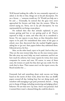Well beyond making the coffee, he was constantly expected, or asked, to do this or that, things not in his job description. 'Do me a favour …,' someone would say. Or 'Would you help out a bit and …' Eventually, he noticed that the guys were never approached for favours and help. Just the women. When he started saying no, 'Sorry, not in my job description,' he was reprimanded for not being a team player.

He realized then that that attitude explained, in part, women getting paid less or not getting paid at all. They're expected to help, to assist, and what they do is considered a favour. No one expects to pay them, so they themselves don't expect to be paid. He remembered then some of the guys at school, once they discovered that she marked English papers, asking her to 'go over' their papers before they submitted them. Editorial service, for free.

Men, on the other hand, *expect* to be paid. And so they are. They are the ones women help; they are the ones women assist. But take away any man's help, any man's assistants, and let's see how much he achieves, how many reports he writes, how many companies he creates and runs. Of course, in some of those cases, the women *are* paid, but they don't get any credit. For the work they've done. Their names aren't on the report covers, the Board member list ….

Femonade had said something about male success not being based on the merits of their work, about how they can shuffle papers around all day, looking busy but not doing much, and somehow still managing to get paid, promoted, elected … being put in charge of things, including monitoring and judging others' behavior. He saw that now. Up close. And it was personal. And it seemed there wasn't a damned thing she could do about it.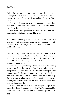When he attended meetings, as in class, he was often interrupted. He couldn't even finish a sentence. Not one damned sentence. Excuse me, I was talking. But then, Bitch. Cunt.

Sometimes it wasn't even an interruption, they just talked over her like she wasn't even there. When had she stopped *objecting* to that kind of thing?

Sometimes they pretended to pay attention, but then continued as if she hadn't said anything at all.

After one such meeting, it hit him. It was the suit. It was like wearing a magic coat. A man could put on a suit and suddenly he was respectable. Respected. No matter how much of a dickhead he was.

One day during a phone conversation he hadn't wanted to have, his mother mentioned that his father had hired Kyle. To work at his company. He hung up shortly after that news. And then he couldn't believe how angry it had made him. The injustice was just too devastating.

Business is male, she thought. Make no mistake. Everything about it smacks of the male mentality. First, the obsession with competition. You have to be #1, you have to outcompete your competition. So hierarchy, rank, is everything. As is an adversarial attitude. Thing is, it doesn't have to be that way. Business could be a huge network of co-operative ventures, each seeking to better the whole. But no, men have to be better than, stronger than, faster than—

Second, the obsession with size. Mergers, acquisitions, expansion. Bigger is better. Bigger wins. They're always talking about new opportunities for growth. Unlimited growth. They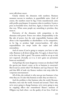never talk about cancer.

Closely related, the obsession with numbers. Business measures success in numbers, in quantifiable units. (And, of course, the numbers must be big.) Units manufactured, units sold, profits, paycheques. It measures value in numbers. It puts a price on beautiful views. And lives. Again, it doesn't have to be that way. When some people say something is priceless, they mean it.

Derivative of the obsession with competition is the obsession with power. Power over others. Responsibility is the flip side of power, but the only responsibility business talks about is the responsibility to shareholders—to be competitive, to be big, to produce high returns/numbers. All other responsibilities are swept under the carpet and called externalities.

And of course if you're going to compete, you have to take risks. Business is all about taking risks. Yet again, it doesn't have to be that way. Safe is good. The system could be set up so risk isn't required. (Actually, as it is, it isn't: gains are privatized, losses are socialized.)

And perhaps the most dangerous: women are devalued. Half the species just doesn't count, as far as business is concerned. She'd read an article titled "On Bankers and Lap Dancers" that said that 80% of male city finance workers visit strip clubs for 'corporate entertainment'.

All of this, she realized, is why men go into business: it has what they are. It's also why business is male: they are what it is.

And the problem is that business rules the world. Because, therefore, men rule the world. Around and around. That's why we're never going to change business, we're never going to stop its crippling effect—she remembered Shane's mention of 450ppm way back when—on the quality of our lives. Until we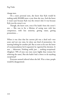change men.

On a more personal note, she knew that Kyle would be making easily \$10,000 more a year than she was. And she knew it wasn't just because Kyle was the owner's kid. It was because Kyle was the owner's *son*.

Though, she knew now, even if he hadn't been the *owner's*  son … She was in for a lifetime of seeing men with less competence, with less seniority, getting raises, getting promotions …

When it was clear that his current job was a dead end—two years and not one raise, let alone any kind of promotion—he starting looking for another job. But as soon as he saw the letter of recommendation he'd requested, he regretted his decision. It was … lukewarm. Nothing awful, just … nothing exceptional. (Sieghart: 70% of men rate men more highly than women for achieving the same.) But she hadn't had a *chance* to do anything exceptional!

Everyone seemed relieved when she left. Was a time, people would be disappointed.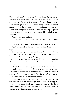The next job wasn't any better. A few months in, she was able to schedule a meeting with her immediate supervisor and his supervisor to discuss a few ideas she'd had about how to decrease the systemic sexism. Simple things like implementing anonymity into the assignment and evaluation process, but also a few more complicated things … She was actually surprised they'd agreed to meet with her. Maybe this workplace was different.

"Hello Jess, come on in …"

She entered the large corner office, with a window, of course …

Her supervisor, Bob, introduced her to his boss, Mr. Arly.

"So," he nodded to the empty chair, "tell us about this idea of yours."

She sat down, then launched into her proposal: the problems it would solve, how it would solve them, the minimal expense involved in changing things, and so on. They asked a few questions, but their interest seemed lukewarm. Then rather abruptly, fifteen minutes in, Mr. Arly stood and looked at her supervisor.

"Well, Bob, we've got to go or we'll be late for the dinner."

And it suddenly hit her. They were just putting in time. They had an event to go to, and their meeting with her was just a way to fill the time. And tick the box for Being Responsive to Your Subordinates. She'd been such a fool!

He'd experienced the same sort of thing when he'd had that part-time position, but he'd thought it was because of being parttime. Now he knew that it was because of being female. Being female-bodied. She thought back to a few interactions with her professors, her classmates, her coworkers …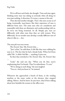We've all been such fools, she thought. Time and time again, thinking some man was taking us seriously when all along we were just nothing. A diversion. Or worse, a means to his end.

Then she had another thought. *That's* why men accuse us of being, irrationally, man-haters. But their experience of men is different from ours. The same men who are considerate and reasonable with them are dismissive and condescending with us. So we're not being irrational. At all. Simply put, men act differently with other men than they act with women. Way differently. So no wonder men develop a totally different view of what it's like to … live.

The next job was even worse.

'Ms. Everett' this, 'Ms. Everett that …

"'Jess' is fine," he told them. It felt like they were rubbing his nose in it. The fact that he had a female body. When he'd been called 'Mr.', it didn't feel like … anything. It just was.

So then they switched to '*Ms.* Everett' this, '*Ms.* Everett' that …

"Look," she said one day. "When you do that, you're emphasizing that I'm female. That I'm subordinate. To you."

"We're doing no such thing," the men laughed.

"You *are.* And you know it," he insisted.

Whenever she approached a bunch of them, at the vending machine or the water cooler or the elevator, they stopped talking. Silence. And he knew, he just *knew*, they'd been talking about how fuckable the women in the office were.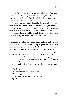How did they, the women, manage to hold their heads up? Knowing that. Knowing how little men thought of them, how irrelevant their degrees, their knowledge, their competence how utterly irrelevant it all was?

Maybe it was just as well they didn't know. And he thought, then, surely they didn't. Know how little men thought of them.

Because if they did, they'd march into the office, every one of them, with semi-automatics and just blow them all away.

Because what else could they do? Complain to HR about a hostile working environment? It was a hostile planet.

He felt like he had to prove himself over and over and over and over. Even within the same company. Reputation doesn't exist for women except as a bitch or a slut. So she could never let her reputation for good work precede her; she could never rest on her record: in every situation, she had to start over, proving her competence. It used to be … assumed. That he was competent.

She started to think that maybe she wasn't as good as she'd thought. But he swore he was doing the same quality of work as he'd done … before.

She complained to Shane one day about having to prove herself—

"Well, yeah." Jess looked at her. She didn't know. "I didn't used to." Shane looked at her. She hadn't known. "Oh."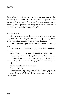Even when he *did* manage to do something noteworthy, something that would establish competence, reputation, the success didn't snowball. It was as if it was regarded as an anomaly, not a predictor of things to come. So she wasn't building a *career*. She just kept getting *jobs.*

And the next one—

He was a customer service rep, answering phones all day long. His first day on the job—his very first day—his supervisor stood behind him and put his hands on his shoulders.

"How're you settling in, Jessie?" the man asked, all friendlylike.

Jess shrugged his shoulders, hoping the asshole would take the hint.

Instead he started massaging his shoulders. Unbelievable.

Jess sat very still, then said, tightly, "Get your hands off me."

Unbelievably—or not, given everything Jess knew about men's feelings of entitlement—the guy did the same thing the next day.

So Jess turned and belted him one.

She was fired of course.

"You're a very lucky young woman," the Security guy said as he escorted her out. "Mr. Smith has agreed not to charge you with assault."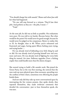"You should charge *him* with assault," Shane said when Jess told her what had happened.

"No one will step forward as a witness. They'd lose their jobs. And pathetic as they are—the jobs, I mean—"

"Yeah."

At the next job, he did was as little as possible. His evaluations were poor. He was told to try harder. Become better. But what would be the point? He would never be good enough, because he would never be judged on his competence. Better to realize this at 25, he thought, than at 40. When you're exhausted and frustrated and angry, having spent fifteen fucking years trying, and trying harder …

He was already tired of defending every little thing he said or did. He was already tired of proving himself over and over, more and more. He was already tired of fighting for every little thing he wanted. Air time. Software upgrades. Even a fucking stapler that could handle more than five sheets of paper.

She started trying to build a life outside work. She joined the Green Party, but at the very first meeting, she noticed that the men took up more physical space than necessary, sprawling over the confines of their chairs, sometimes even elbowing the people beside them.

And not only did they take up more conversational space by interrupting the few women present, they spoke slowly, they repeated themselves, they made irrelevant comments that derailed the conversation—just to hear themselves speak, she was sure.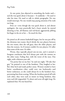At one point, Jess objected to something the leader said and she was quick about it because— It suddenly— He used to take his time. He used to talk in whole paragraphs. No one would interrupt. No one would stop paying attention if he took too long.

Even so—even though she was quick about it, and almost apologetic, the man practically had a heart attack: he started shouting at her, all blustery and red-faced, aggressively jabbing his finger in the air at her … So much for that.

He joined an all-comers basketball league, but he was put off by the divisions into teams: they'd divide the star players between the two teams, then the tall guys, then the older players, and then the women. As if women couldn't be star players. Or taller than some of the men. Or older.

Worse, they typically played one-on-one, and it seemed a foregone conclusion that he'd always pair with the woman on the other team. Failing that, with the worst of the men. One night, with a thirteen-year-old.

"I'm pretty fast on my feet," he said one night, "I'll take that guy," he pointed to one of the hotshots. They laughed at her. But what he'd said made perfect sense. Women tended to have better coordination—they could even run backwards—and better endurance, so she could always be in the hotshot's face, preventing him from scoring. When the hotshots paired off with each other, they were each so intent on being hotshots, they were each left unguarded. To shoot and score all night long. He explained that. No one heard her.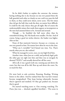So he didn't bother to explain the converse: the women, having nothing else to do, because no one ever passed them the ball, guarded each other so closely no one *could* ever pass the ball to them, so they could never shoot, never score. The few times they *did* get the ball, they took the shot, no matter how difficult. It could be the only chance they got all night. But of course the

understandable misses that made them appear as incompetent as the men had assumed them to be. Around and around.

Though … he fumbled the ball more often than he remembered doing. Ah. His hands were smaller. No fair. And of course, being a good six inches shorter, the basket was higher. Also no fair.

None of that mattered, however, because as a woman, no one ever passed to him. No matter how often he was in the clear.

"What am I, invisible?" he'd fumed one time. Yes. That's exactly what you are, she realized.

When he managed to score, once, no one high-fived him.

Another time, when Jess set a solid, and perfectly legal, pick, the other guy ran right into him and then was so enraged, he shouted "FOUL!" and actually shoved her off the court.

All in all, it was a good work-out, running up and down the court, but that was all he did. Run up and down the court. So, so much for that.

He went back to solo activities. Running. Reading. Writing letters to the editor. And he realized that that was how women become marginalized. They keep leaving voluntarily, because they're ignored and insulted. Or they get pushed out, because they're good.

He started watching more tv. One evening, watching *The Piano*, Jess was … shocked, appalled, horrified— The scene in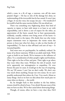which a man, in a fit of rage, a tantrum, cuts off the mute pianist's finger— He has *no idea* of the damage he's done, no understanding of the irrevocable loss he has caused. It *wasn't* just a finger. It was her voice, her escape, her joy— He wondered if he would've had the same reaction before. He was afraid not.

There was something very frightening about that kind of capacity to injure: to hurt with intent is at least to act with responsibility, and it shows a sort of respect for the other, an appreciation of the harm caused; but to hurt spontaneously, recklessly, casually, without even being aware of the harm—it adds deep insult to the injury. (No doubt that was why victim impact statements were so important: the victim wants the person to *know* just what he's done, to take on that burden of responsibility.) To hurt in that off-hand cool sort of way— It was psychopathic.

And most men *are* psychopathic, he suddenly realized. So many of us throw tantrums. While in an adult male body. With a gun or knife in our hands. We're immune to the influence of ethics. To a consideration of other people's rights and freedoms. Their right to be free of fear and pain. Their right to go where they want when they want. Without the risk of assault. And we're apparently too unimaginative to empathize. Or even foresee the pain we cause. It would get in the way of competing. We say 'Of course, I care,' but we don't really. We don't care very much about anything. Except our own status. So we can't possibly understand that others do. Care. Very much. About so many things. And so we have no idea about how much pain we cause when we destroy … the world.

So, he thought back to that incident in the bus shelter, women *should* be afraid of men. Very afraid. Because most of the time we have no idea. We're that casual about destroying things.

Though, of course, often we have a very clear idea. He'd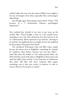realized sadly, that men were the reason children were taught to be wary of strangers. Even when, especially when, said strangers offered help.

Jess thought again about going to grad school. Thesis: "The presence of a Y chromosome indicates psychological impairment."

One weekend Jess decided it was time to get away, go for another hike. They'd bought a used car a few months prior, intending to use it for their adventures, but they had yet to do so. Unfortunately, Shane opted not to go with her, choosing to be with her new girlfriend; Jess was happy for her, but saddened by the prospect of losing her best friend.

He considered Watersprite Lake and Elfin Lakes, simply because the names were so delightful—something, he realized, he couldn't've done before—because real men just didn't what? But when she looked at a few videos posted online, she didn't find the actual trails quite as delightful as their names and opted for Joffre Lakes instead. A nice long drive to Pemberton, then short 10k hike with three turquoise lakes—again, something—was it that men weren't as sensitive to color or weren't *allowed* to be sensitive to colour?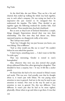At the third lake, she met Ethan. They sat for a bit and chatted, then ended up walking the whole way back together, easy in each other's company. He was trying too hard to be impressive—she just wanted to be intrigued—but he understood the impulse. The habit. They decided to get together again the following weekend for another hike. And then another. Three months later, Jess had a boyfriend.

But as soon as they'd sort of declared themselves a couple, things changed. Expectations shoved their way into their relationship. The first time they had dinner out, Ethan expressed surprise, no, disapproval, really, at her attire.

"But I always wear casual."

"Yeah, but I thought that was just because you know, you were hiking. This is different."

"And so what would you like me to wear?" He couldn't believe he even asked that question.

"I don't know, something more … I don't want to feel like I'm with a guy."

That was interesting. Gender is rooted in men's homophobia?

Also, whenever they were out, Jess noticed that people always addressed Ethan first, often ignoring her altogether. That shouldn't've been a surprise, but— It was. It felt like a sucker punch.

He found that she had to be ever attuned to Ethan's wants and needs. This was new. And actually, now that he thought about it, it wasn't just with Ethan. He was paying more attention to men in general. And not in the way he used to pay attention to women. Nor even in the way he used to pay attention to men in general. No, this was different. Very different. It wasn't just that he had to be more vigilant, physically. About where to go and when to go there. It was that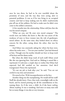Jess

once he was there, he had to be ever watchful about the proximity of men, and the way they were acting, alert to potential problems. It was as if he was living in an occupied country and had to keep making sure he didn't inadvertently piss off one of the soldiers. He had to make sure he didn't even come to the soldier's attention.

A few months into the relationship, Ethan told Jess that she was his moral compass.

"What are you, six? Be your own moral compass." The words were out before she knew it. But she was aware of the tendency of men to force women into the role of gatekeeper, moral arbiter. At the same time, they looked down on ethics; concern for the other, caring about the other, that was for wusses.

And Ethan was constantly asking her where his keys were, where his socks were … "I'm not your mother!" Jess had shouted at him. Though even his mother should not have to keep track of his keys and his damn socks.

But when she didn't keep track of such stuff, Ethan acted like she was ignoring him. And said so. Making it sound like a reprimand. It took Jess a couple days to realize that Ethan had expected, had felt entitled to, her attention. And she'd transgressed. Hence the reprimand.

"It's not my job to look after you," he said. "You are not *entitled* to my time and attention."

He stared at her. With incomprehension on his face.

Another thing was the mansplaining. He would tell her stuff. Stuff she already knew. Once, they took a moonlight walk on the beach, and he started pointing out all the constellations to her, naming them. As if she were a child. As if she knew *nothing.*  About *anything.* It was *so* insulting. And since so many men told her so many things, it was also so very tiresome.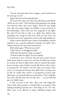"You do remember that I have a degree, yeah? And that I'm the same age as you?"

Again, that stare of incomprehension.

He reacted the same way when she asked him, point blank, "What do you want?" They had been discussing the way things were between them. Jess wasn't happy. With the way things were. She was trying to figure out whether to stay and work on the relationship—that's what you were supposed to do, right? But why? If you had to work at it, didn't that indicate that something was wrong? So why stay? Why not just move on? And why weren't *men* supposed to work on the relationship too?

Ethan's answer had been just a litany of possibilities, and she realized it was a purely intellectual response. He didn't *know* what he wanted. He wasn't that introspective.

She'd asked again. "What do you *want*?"

"I don't know," he shrugged irritably.

"Why does the question make you angry?"

"It doesn't make me angry!" he said. Angrily.

It dawned on her a bit later that the issue wasn't that he didn't know what he *wanted,* nor even that he didn't *know* what he wanted, but that *he* didn't know what *he* wanted. Men didn't have as strong a sense of self as women did. *Because* they weren't as introspective. Or maybe it was the other way around. They weren't as introspective because they didn't have a strong sense of self. Or maybe they weren't as introspective because they didn't have to constantly self-censor themselves. "Don't walk like that, don't talk like that, don't sit like that …" as one FtM had put it in Schilt's book.

It also occurred to her why, when men said things like 'Don't make this personal', it sounded like an accusation. Like making something personal was a bad thing. It *was*. For *men*. Who want to be allowed to injure individual people with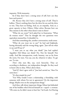Jess

impunity. With immunity.

So if they don't have a strong sense of self, how can they have such power?

Ah. *Because* they *don't* have a strong sense of self. They're hollow. There's nothing there but the drive for sex and the drive to win. They have no feeling. And, so, no empathy. And, so, a great capacity to hurt. Others. Other selves. Because how can they assume in the other what doesn't exist in them?

"What do *you* want?" he'd asked her in frustration. "What do women want?" That he thought the two questions were equivalent stunned her. It shouldn't've.

And then something else, another conversation, made sense.

"What do you want me to say?" he had said helplessly, having obviously said the wrong thing, again. "Just tell me what to say and I'll say it!"

"I want you to say what you think!" Jess had replied. Appalled. Did Ethan not think? No. Not for himself. Not really. And like introspection, truth, honesty, was so far from the norm. For men. You say, you do, whatever it takes. To get sex. To win.

*That's* why men like, nay, *need*, hierarchy. They act according to obedience, not independent thought. So they need to know who to obey. Who's above them.

"And if I don't agree with it," Jess had carried on, "then I'm outta here."

"It's that simple for you?"

"Yes! Why would I want a relationship, a friendship, with someone with whom I'm not in agreement? On the important things. Maybe even on the unimportant things."

And then, talk about important things, Ethan had defended one of his buddies who'd forced himself on—raped—a woman. "Oh come on, he didn't mean to hurt her," he'd said. As if having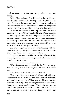good intentions, or at least not having bad intentions, was enough.

While Ethan had never forced himself on her, it did seem that the more—the more she stood up to him? No, that can't be right. But it was. Ethan seemed unable to experience pleasure without conquest. So the more she stood up to him, the greater the conquest. That is to say, the more aggressive the sex became.

Of course, she decided to break up with him. He hadn't wanted *her* per se. He'd just wanted a *girlfriend.* Women are used by men only as pawns in their competition for status. That explains their rage when a woman says no, or worse, says yes, then no, choosing to leave them: in both cases, the rejection causes them to lose status. Our mistake, always, is thinking it's about us. It's never about us. It's always about them.

She tried to figure out a way for *him* to break up with *her*. Otherwise, posting revenge porn would be the least of it. But she couldn't. So she just left and hoped for the best.

"I suppose you want to still be friends," he said sarcastically, leaning against the doorway as she packed the few things she'd brought to his apartment.

"No," Jess stood up. "I don't think so."

"What, I'm not even good enough for that?" He was angry. She was leaving him. It was a judgment. Of him. Of course it was.

"Do *you* want to still be friends?" she asked him.

He snorted. She wasn't surprised. Shane had said once, "Take sex off the table and see how many men will be friends with you. The answer? Zero." She'd been providing evidence for her claim that straight men saw straight women only as sexual. Sexual beings, sexual possibilities … "That's why men can't be friends with you after you break up," she'd explained. "It's not the I-love-you-too-much-to-ever-start-liking-you shit," she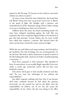quoted an old 70s song. "It's because as far as they're concerned, without sex, there's no point."

As soon as Jess closed the door behind her, she heard him yell "Bitch!" Funny how men can go from 'I love you!' to 'Bitch!' at the speed of light, she thought with a grimace, and remembered one of her classmates saying 'They're either coming on to you or insulting you, there's no in-between'.

Halfway down the stairs, she heard something smash. He must have whipped something against the wall. She was surprised. She never would have figured Ethan to be the kind of guy who had tantrums. 'Course, before, she, he, never would have called that response a tantrum. She hurried down the stairs, out the door, around the corner, and out of sight.

While she was with Ethan and using condoms, she'd decided to get sterilized. The risk of leakage was not inconsequential. To say the least. She had no desire whatsoever to spend so much of her life looking after kids. (And yet, he hadn't considered getting a vasectomy …)

He'd been surprised to find resistance. She shouldn't've been. In some places, it was actually illegal, especially if you were under a certain age, unmarried, and/or did not have your husband's consent.

One doctor she'd gone to had actually snickered and then said, "So you want the advantages of sex without the responsibilities?"

Jess didn't respond, realizing only later that it was because she'd been confused, because he had asked the question incorrectly: yes, she wanted sex, and no, she didn't want the responsibility—of *children*, not of *sex*; she *did* accept the responsibility of sex—that's *why* she was sitting in his office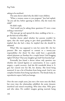asking to be sterilized.

The same doctor asked why she didn't want children.

"When a woman comes to you pregnant," Jess had replied, "do you ask her, before agreeing to deliver, why she wants the child?"

He didn't reply.

"And would you be asking these questions if I were a man seeking a vasectomy?"

The man got up and opened the door, nodding at her to … get the fuck out of his office.

Another doctor asked whether her parents wouldn't be upset, that she wasn't going to give them grandchildren. He implied that she had a duty; he implied that she should be ashamed.

What? She was supposed to ruin her entire life—for her parents? She was supposed to commit to a twenty-year responsibility—for them? So they could have a genetically related playmate on Sundays for a couple hours? And bragging rights? Of what? That your daughter got laid? Got knocked up?

Eventually Jess found a doctor whose only question was whether she wanted ligation or cauterization. It was a quick surgery, a quick recovery. And she felt wonderful about it. It gave her control over her life, her destiny. She loved being neutered. It was a bit of freedom from being sexed. And it was complete freedom from being reproductive. The female body, its reproductive aspect, held you hostage.

Over the next couple years, Jess met a few more men she liked, but every time the relationship solidified, the sexist dynamic interfered and ruined everything. Who does what. Who gives and who takes. He couldn't imagine getting married, being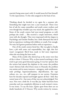married, being some man's wife. It would mean he'd lost himself. To the expectations. To the roles assigned on the basis of sex.

Thinking ahead, he decided to try again for a summer job. Something that might turn into a year-round job. There were lots of ads for camp counsellors and youth center workers and even though they wouldn't pay very much, she applied for a few. Some of the youth centers had year-round programs as well, perhaps she could … She received a couple interviews, which went well, she thought. They were impressed with her degree in Psychology and Gender Studies, but a little dismayed that she'd had no experience working with children or youth. Fair enough. No wait, he'd gotten positions before with no experience …

One of the youth centers hired her. She was glad to finally have a job with some real responsibility, but, sigh, that fact wasn't recognized. She'd been made to feel more important when she was doing the lawn work.

Many of the youths who showed up at the center were fans of the tv show *13 Reasons Why,* so Jess started watching it, then tried to get some good discussion going. It was her opinion that the writers had missed the elephant in the room: the problem wasn't thirteen kids who'd been mean to Hannah; the problem was sexism and its many tumours—misogyny, male entitlement, male privilege, hypersexualization, objectification, the rape culture, etc., etc., etc., still rampant in our society. Feminists have for decades exposed and fought against all that—hell, they *named* most of it—but none of that was not acknowledged. Not once. Not even a little bit. It was like Jay Asher had been born yesterday and was completely oblivious to such women's voices. It was ironic. To say the least. (Quite apart from there are no doubt hundreds of *13 Reasons Why* novels written by women.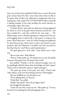## Peg Tittle

Have any of *them* been published? Made into a movie? Received great critical claim? No. But a *man* writes about what it's like to be raped, what it's like to be subjected to misogynistic shit every fucking day, well, world, PAY ATTENTION! Asher is himself a shining example of the male privilege his novel criticizes so unwittingly. Again, the irony.)

"Consider Justin," Jess said one afternoon, having suggested her thesis to a few of the girls who'd clustered around her—the boys avoided her—and that could be her next topic … "He thinks being a man is all about getting sex, using women for sex, and bragging about it afterwards to get points, to improve his status. 'Bros before hos'—even if it means letting your girlfriend be raped because hey, what's mine is yours, and women are just property, after all. Otherwise, it wouldn't even have occurred to him that what he 'owed' Bryce could include Jessica."

The girls glanced at each other. They hadn't seen it that way.

"Bryce is the same," Beth offered.

"Worse," Kaley spoke up. "He thinks he's so cool. He thinks he knows what girls want. He doesn't know shit!"

Jess nodded. "Thanks to all the cultural messages, men can be appallingly deluded about their knowledge and their appeal. They can lie to themselves about it. Again and again."

"We gotta get some of the guys over here," Cheryl said. "Hey, Shaun, come over here! Bring your bros!" She laughed.

The boy shuffled over, his friends in tow.

"We're talking about *13 Reasons*."

"Chick flick," he scoffed.

"Really?" Jess asked. "How do you figure that?"

He shrugged his shoulders.

"Tyler's the one that creeps me out," Mia spoke up. "I mean, he doesn't do anything but take photographs, but—"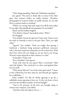"That's doing something," Beth said. "Definitely something."

Jess agreed. "He seems to think, like so many of the other guys, that women's bodies are public domain. Therefore, photographs of women's bodies are public domain. It's not like there's a person inside or anything."

"Which is so wrong. Guys post snaps of us all the time online. It's not right. They should ask our permission. It's our bodies!"

Shaun and his buddies laughed.

"You think it's funny?" Jess looked at him. "Why?"

He shrugged.

"You should criticize the girls too!" Jason said. "Jessica turns her back on Hannah as soon as she gets Alex. That's not right either."

"Agreed." Jess nodded. "Girls are taught that getting a boyfriend, a husband, being someone's girlfriend, someone's wife, is the most important thing they can do in their lives. With their lives. Given the way things are set up, they're not wrong. Women's status depends on their relation to a male."

"It shouldn't," Kaley said.

"No, it shouldn't," Jess agreed.

"Yeah, well, what do you expect? She's a *cheerleader*," Beth said with disdain. "Her actual *job* is to cheer and applaud when men do stuff."

"What about Marcus?" one of the other girls asked. "I mean, at first I liked him, but then when he and Hannah get together for a milkshake …"

Kaley nodded. "It's like he thinks agreeing to go for a milkshake means agreeing to have sex. At the very least, to have your hoo-hoo fondled in public. In broad daylight."

"And in the presence of the bros you brought along to witness your conquest," Jess added.

"And then when she objects, he's so … "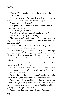"Outraged," Jess supplied the word she was looking for. Kaley nodded.

"And why? Because he feels *entitled* to touch her. As a man, he feels entitled to touch any woman. Any time, any place."

"Not all guys are dick-jocks."

Jess grinned at the red-haired boy. Terence? She hadn't heard that word before.

"So … Clay?" Jess prompted.

"He thinks he's a frickin' knight in shining armour."

"But at least he's trying to … fix things."

"But he's doesn't understand— What you said. The elephant in the room. Jessica does a much better job, addressing that. Eventually."

"But why should *she* address that. If it's the guys who are doing wrong, *they* should address that!"

"But— Something I don't get— Why didn't Hannah just get out of the hot tub? At Bryce's party? I mean how passive *is* she? She needs to take some responsibility for her actions too."

"She didn't want to be rude. She didn't want to hurt his feelings."

Beth turned to Cheryl, her eyebrows raised so high they were about to fly off her forehead.

And before Jess could quote Kate Manne—"Why, and how, do we regard many men's potentially hurt feelings as so important, so sacrosanct?"—

"Maybe she thought— I don't know," another girl spoke, "maybe she thought it would be worse if she tried to leave."

"Maybe, but— She wants Clay to kiss her. Why doesn't she just kiss him?" Jason was genuinely confused. "She wants him to ask her to dance. Why doesn't she just ask him? She tells Clay to go away, but then expects him to stay."

"Yeah, I really hated that scene," Jess said. "Remember what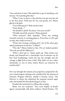Tony said about it later? 'She asked him to go, he should go, end of story.' Or something like that."

"What I want to know is why did she even get into the tub in the first place? With just her bra and panties on?" Shaun glared at the girls.

"You're blaming *her?*" Beth stared at him.

"Yeah. Kinda—"

"He should've asked! You know. 'Use your words'!"

"Woulda ruined the moment," Shaun grinned.

"*What* moment?" Beth exploded. "There was nothing remotely romantic or exciting going on. If you have to tell a girl to relax, she's really not into it."

"Wasn't she wearing a bathing suit?" one of the other guys asked, puzzlement on his face. "A bikini?"

"Was she?" Shaun looked at him. He too looked puzzled. "How do you tell the difference?"

"What *I* don't get is," Alyssa spoke up, "okay, Jessica was drunk, and Hannah isn't a cheerleader, but if someone can do four back handsprings, surely she has the strength and the courage to fight back at least *a little.* Why didn't we see a sober cheerleader, or two or three, bustin' Bryce's ass whenever he tried his shit?"

Part way through the summer, Jess prepared a proposal for the year-round program, hoping to be considered for the position of Assistant Program Director, should it become vacant. The Director to whom she submitted the proposal seemed angry when she handed the slim sheaf of papers to him.

Puzzled, she mentioned it to Shane that evening.

Shane was not surprised. "'Any overt display of female agency automatically calls down violence.' Sarah Henstra. *The*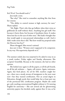*Red Word.* You should read it."

Jess made a note.

"But why?" She tried to remember anything like that from her courses.

"The ability to control women is high currency for men," Shane replied.

"Ah. Right. That's why they go ballistic when their wives or girlfriends do stuff without them. Anything but girl stuff. Not because it hurts them, but because it humiliates them. It makes them lose face in the eyes of other men." She hadn't thought that that would apply to non-personal relationships as well. And it didn't make sense that it did. "But how would my proposal make the Director lose face?"

Shane shrugged. Men weren't rational.

Jess saw it then. "Women aren't supposed to be competent. In any way. His superiority depends on it."

The summer ended. Jess was surprised to be asked to stay on as a youth worker. Friday nights and Sunday afternoons. She accepted. Gratefully. Because at the moment, she had no other options.

She looked once again in all the papers, at all the job boards, on all the job websites … Again, call centers. Again, waitresses. Again, fast food places. An ad for ESL teachers caught her eye—there was a steady stream of immigrants to the west coast now—but they wanted certification. Not an actual degree in Education, though surely that would help, but at least part one of the provincial ESL certification program. Maybe she could get a job coaching conversational English without it. Or tutoring English for university— She saw several ads for ghostwriting university papers, but decided, easily, against that. It was, as far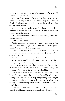as she was concerned, cheating. She wondered if that would have stopped him before.

She considered applying for a student loan to go back to school, but getting a job with a graduate degree in Psych or Gender Studies seemed as unlikely as getting a job with her undergraduate degree.

She came back to the ESL position. She could afford the certification course, but then she wouldn't be able to afford next month's share of the rent.

"We could sell the car," Shane said that evening when they discussed things.

"You wouldn't mind?"

"I like having it, but honestly, we don't really need it. We both use our bikes to get around, and there's always public transit. We can go back to renting a car if …"

They thought about it overnight, then wrote and posted the ad for sale the next morning. That afternoon, Jess took it for a drive one last time.

On the way up, when he rounded one of the many hairpin turns, he saw a rockfall ahead, blocking the way. He'd been driving slowly, for the amazing views, and was well able to stop in time. He pulled over, reached for his phone to called 9-1-1 to alert them to the need for barriers and road closure signs, then remembered seeing a car in the distance behind him—

He sprinted back around the corner, surely doing the hundred in record time, then stood in the middle of the road, holding up his left hand to say 'stop' and gesturing with his right for the car to pull over. The driver ignored her. Certainly didn't slow up. Possibly sped up. Swerved around her as if she simply wasn't there.

Even as she ran back, she knew it was pointless. The explosion had been … conclusive. She called 9-1-1 again.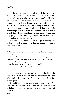## Peg Tittle

As she sat on the side of the road, stunned, she tried to make sense of it. But couldn't. What if there had been not a rockfall but a stalled car around the corner? She couldn't— Ah. She'd been wearing her fuchsia faux fur vest. (She *loved* that vest. The colour was so … *vibrant!*) Because it could get chilly as you got higher up. So the man—her quick glimpse had confirmed that—had assumed she was female. And if she'd been waving her arms hysterically, he might have stopped. Damsel in distress and all that. (Or might not have. No time today for some crazy lady going on about something or other.) But she'd been calm. And authoritative. Stop. Pull over.

It was one of those moments that changes everything. Only it didn't so much as change everything as confirm it beyond all reasonable doubt.

"What happened?" Shane saw immediately that something *had*  happened.

Jess looked at her. Then said just one thing. The one thing— Of course because of Sieghart, Perez, Manne, Bray, and so many others, he'd suspected as much, but he didn't remember being this way, and it was just so … implausible.

"Men would rather die than listen to women."

About six months later, she discovered a lump in her breast. She immediately made an appointment with her personal physician, who confirmed the presence of a lump and referred her for a mammogram.

It was his first and he'd had no idea. It hurt like hell. Who came up with this idea? Surely there was a better diagnostic technique. No way men would even *consider* putting their penis in a vice …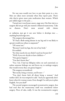No way men would ever *have* to put their penis in a vice. Men are taken more seriously when they report pain. That's why they're given more pain medication than women. Which just added anger to the pain …

Turned out it was breast cancer, stage zero. Her first visit to a surgeon did not go well. Jess wanted a bilateral mastectomy. Take no chances. Don't mess around with chemo

or radiation, just get it out now before it develops into … anything beyond stage zero.

The surgeon discouraged her.

"If I had a flesh-eating disease in my leg and it was likely to spread, would you refuse to amputate?"

"Of course not."

"Because I need my legs, the rest of my body."

He nodded.

"So what exactly do you think I need my breasts for?"

"Well, if you ever decide to have children—"

"Not gonna happen."

"You don't know that."

"Yes, I do. I had my fallopian tubes cut and cauterized, so unless someone kidnaps me and forces me to undergo surgery that would reverse that, not gonna happen."

The surgeon reconsidered.

"But surely, being a woman, you'll want—"

"You don't know fuck all about being a woman." And neither did I, he was tempted to add. "And you apparently don't know what *this* woman wants. Even though I've told you in plain English. Are you deaf?"

The second surgeon encouraged reconstructive surgery. Jess had read that the mastectomy itself was considered minor surgery. Piece of cake, really. It was the reconstructive surgery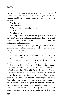that was the problem: it increased the pain, the chance of infection, the recovery time, the outcome. Quite apart from running would become more enjoyable if she were just flatchested.

"No thanks," she said.

"Are you sure?"

"Why do men always doubt women?"

"What?"

"You heard me."

And why, he wondered, do they always say 'What?' Because they didn't hear what had been said. Because they weren't really listening. Or because they heard it but didn't bother processing it. In one ear and out the other.

The man referred her to a psychologist. "Just to be sure you've considered all your options," he said. He wouldn't accept her decision otherwise.

What the fuck!

Why was being visibly female more important than, say, being a runner? Why was the pleasure of her own body, to herself, not the only criterion? Because sexism depended on the gender binary, on males being men and females being women.

It reminded her of the history of abortion. First, women weren't even permitted to have an abortion until the woman had had at least one child. Must fulfil the female role first! Even if it was life-threatening. And pregnancy, then birthing a child, was indeed life-threatening. Second, even when abortions were permitted, you had to go through a psychological assessment. You had to prove, to a committee, that you were incompetent, that pregnancy would cause significant emotional distress such that you might harm the child, or yourself, in order to get an abortion. It was bizarre. Wouldn't they want you to prove, instead, that you were *competent?* To make the decision? It was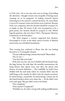as if the men—for it was men who were in charge of providing the abortions—thought women were incapable of having wants (wanting *not* to be pregnant), of making reasoned choices (choosing not to be a parent), rational decisions. Or, more likely, it was as if a woman's wants and choices were irrelevant. Because if she *were* competent, then her decision should be accepted. It's as simple as that. Of course, if she were incompetent to be a good parent, her decision should be accepted as well. Which begs the question, why were there TACs, Therapeutic Abortion Committees, in the first place?

The third surgeon, a woman, supported Jess' decision. Encouraged it, in fact, as the safest course of action. A bilateral mastectomy was scheduled immediately.

That evening, Jess confessed to Shane that she was looking forward to it. To being flat-chested.

"Do you really hate being a woman that much?" Shane asked.

"No, it's not—"

"You don't like your body."

Well, that was true. He *wasn't* thrilled with the female body: the large breasts, the wide hips, the monthly menstruation, the being shorter than almost every man alive, the almost total absence of muscle definition … But truthfully, he hadn't been thrilled with the male body either: he certainly didn't miss his stuff being on the outside, he didn't miss the surprise erections, he hated having a moustache, he hated having a beard, but he also hated having to shave every damn day … So she didn't want to be male again. She just didn't want to be female.

"Not completely."

"Does anyone? Completely?"

"Probably not. So what's wrong with making modifications?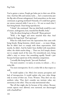You've gotten a tattoo. People get holes put in their ears all the time. And face lifts and tummy tucks … Isn't a mastectomy just the flip side of breast enlargement? And somewhere on the same continuum as getting sterilized? Honestly, if I could have gotten my uterus removed while I was at it— It's not so much that I hate being female. I hate being reproductive.

"I think," she continued, "that my ideal body would be a sort of neuter, androgynous, lean, muscled but flexible, body."

"Like the aliens being kept at Roswell," Shane grinned.

"Well, a bit bigger and more muscled than that. And without the huge head. That's gotta go."

What he really hated were the expectations that came with being female. Being feminine, which meant … so many things. But he didn't have to comply with those expectations. And mostly, he didn't. And he hadn't been thrilled with masculinity either, the whole macho thing … Then too, he'd simply chosen not to comply much of the time. He remembered, now, being called a sissy or worse—but something equally 'female'—just because he'd just opted out of the relentless competition.

"I actually like being female," Jess said. Realized.

"I'm more sensitive—to tastes, to scents, to colours … It's a richer life.

"I'm more introspective. So it's a richer life in that respect as well.

"It would explain a lot. Men's low sensory perception and lack of introspection. It would explain why men value things only in terms of their use. Trees. Women. They don't see any aesthetic value. They don't consider any intrinsic value, any autonomy in the other. They see only instrumental value.

"But all that might also be because of the culture. Because certain aspects were allowed, even nurtured, not discouraged with a baseball bat."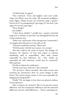"Could be both," he agreed.

Then continued. "Tears and laughter come more easily. Anger and affront came less easily. My emotional intelligence seems higher. Maybe because my emotional range is greater. Used to be if I was disappointed, I got angry; if I was hurt, I got angry; if I was sad, I got angry."

"Wow. Really?"

Jess nodded.

"I don't know whether I actually *have* a greater emotional range now or whether it's just that I can distinguish between the various emotions now.

"Either way, and because of the introspection I mentioned, I can imagine that others have as rich a life as I do."

"That just sounds like maturity," Shane said.

"Well, honestly, I do feel more mature. As a woman."

"But that could be the result of sexism. Not biology. Or chemistry. Or whatever. At least with respect to maturity manifesting itself in responsibility. Men make women responsible for their behaviour. So— Hm. Adults are responsible for kids' behaviour. Could they be connected?" Shane grinned.

He did not dispute her implication.

"Words come more easily now," Jess continued.

"We do know," Shane conceded, "that when women who transition get testosterone, there are actual changes in their brains. The amount of grey matter in the areas responsible for language processing shrink."

"Really?" He was happy to hear there was physical evidence for his experience.

After a moment, he continued. "But it's not just the sensory differences and the introspection differences and the emotional differences and the verbal differences— There's something *else*.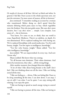Or maybe it's *because* of all that. Life isn't as black and white. In general. I feel like I have access to the whole spectrum now, not just the extremes. I'm more aware of nuance, all the in-between."

Jess continued. "I remember reading an account by a woman who transitioned. Before doing so, she'd spend forty-five minutes debating which pasta sauce to buy, which vegetables were the freshest. Now she just grabs some. She says she's more decisive, but I say she's more … simple. Less complex. Less aware of … the in-between.

"You know, I've come to see, to think, that our world is crass. Superficial. Mediocre. There's no subtlety, no depth. It's two-dimensional. We've replaced making love with having sex. We've replaced friendships with social media sites. Too few seek beauty, insight. Too few aspire to intelligence, knowledge."

"Too few *value* beauty, insight," Shane added. "Too few *value* intelligence, knowledge."

Jess nodded. "We are impoverished. In every way. And now I know why."

Shane nodded. She knew what was coming.

"It's all because men dominate. Their values dominate. And driven by testosterone, they value … all the wrong things.

After another moment, Jess changed direction slightly.

"A lot of what I like about being female is the stuff I *don't* feel. I like not thinking about sex all the time. I like not feeling sexual all the time.

"I like not feeling so … driven. I like not feeling like I have to be *doing* something all the time. I can slow down. I can stop. I can sit still. I can relax. I can be quiet. I can *enjoy* sitting still, relaxing. I can *enjoy* the quiet.

"I like not having to spend so much energy trying to control myself.

"I like not having to posture all the time. I like not having to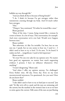bullshit my way through life."

"And you think all that is because of being female?"

"I do. I think it's because I've got estrogen rather than testosterone coursing through my body. And I'd much rather have estrogen.

"Hm."

"Thing is," Jess continued, "I'd rather be treated like a man." Shane groaned.

"Most of the time. I mean, being treated like a woman *by women* is better. In a lot of ways. This conversation, for example. And every conversation we've ever had. Would *never* happen between men."

Shane nodded.

"But otherwise, it's like I'm invisible. I'm here, but no one sees me. I speak, but no one seems to hear me. I used to— I didn't used to have to *try so hard*. To be seen. To be heard. It makes me feel … insignificant. I used to feel important."

Shane snorted.

"It's true! No one ever asks for my opinion now. No matter how good my arguments, no matter how much supporting evidence I present, I have no influence whatsoever. Over anything."

"I wasn't disagreeing," Shane said.

"And when I offer my opinion anyway, I'm challenged. Every frickin' time. All day. Every day. Even on my most uncontroversial utterances, I'm questioned: Are you sure? How do you know that?"

Shane nodded.

"I also didn't used to have to try so hard just to succeed," Jess said. "It's like we're all in a pool, and the men are swimming *with*  the current, but the machine in the women's lane is set so we have to swim *against* the current. Hell, some of the men are just floating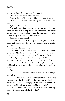around and they *still* get from point A to point B—"

"At least we're allowed in the pool now."

Jess stared at her. She was right. That didn't make it better.

"And the insults. Every day, all day, we're reduced to our sex."

Again, Shane nodded.

"Not only by the interruptions, the dismissals, and the many condescensions, not only by the endless commentary about how we look and the touching, but by outright name-calling. It takes its toll. Being called a cunt or a bitch every day."

Yet again, Shane nodded.

"I have to fight for everything: acknowledgement, respect, opportunity, autonomy, dignity … Everything I used to take for granted."

Once more, Shane nodded.

Jess grinned at her. "You'd think that after twenty-some years, I wouldn't be surprised by all this. But— It's just that—I *remember*, on some level, things being different. *So* different."

"Actually, it's good you keep being surprised. The rest of us are, well, it's like the frog in the boiling water. The … disenfranchisement has happened so gradually, from infancy, to childhood, to—a lot of us rebel big time when we hit puberty, but then … "

Yeah.

"So … ?" Shane wondered where Jess was going, would go, with all this.

"Well, I have to say, I'm not looking forward to this being the rest of my life. I mean it's not just for a week, Monday to Friday, nine to five, like that guy, Martin, had. You know? The guy who accidentally was treated like Nicole at work?"

"Yeah. The one who, after a mere week, Monday to Friday, nine to five, summarized 'Folks, it sucked.'"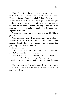"Yeah. But— It's before and after work as well. And on the weekend. And for not just for a week, but for a month. A year. Ten years. Twenty. Forty. Your whole fucking life, every minute of every damned day, from the time you get up to the time you finally fall asleep, being ignored or dismissed; being patronized, underestimated; being doubted, challenged, resisted; being demeaned and humiliated; being completely … irrelevant … to anything, everything."

"Wow. Until now, I was kinda happy with my life," Shane grinned.

"Sorry. And yet—this will make you happy," Jess continued, "as I said before, I'd rather be female than male. Personally. Not socially. Socially, how you're treated, yeah, it sucks. But personally, how it feels, it's good. Better."

Shane nodded.

"In fact, now, if I were male, I would be disgusted with myself. I'm ashamed to have been a man.

"We feel entitled. To attention. To glorification. To physical space. To other people. To, well, everything. We are, in a word, in two words, greedy and self-centered. But that's not the worst of it.

"We are entertained, sexually aroused, by other people's humiliation. Leave it to us to turn the creation of life into a degradation. Rape.